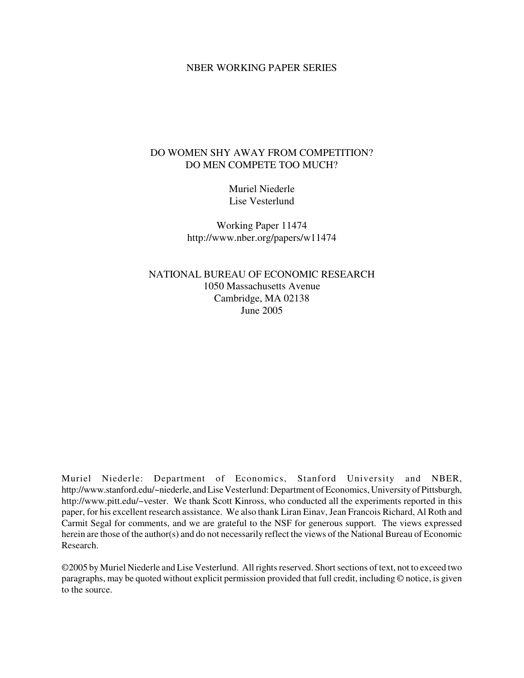#### NBER WORKING PAPER SERIES

## DO WOMEN SHY AWAY FROM COMPETITION? DO MEN COMPETE TOO MUCH?

Muriel Niederle Lise Vesterlund

Working Paper 11474 http://www.nber.org/papers/w11474

NATIONAL BUREAU OF ECONOMIC RESEARCH 1050 Massachusetts Avenue Cambridge, MA 02138 June 2005

Muriel Niederle: Department of Economics, Stanford University and NBER, http://www.stanford.edu/~niederle, and Lise Vesterlund: Department of Economics, University of Pittsburgh, http://www.pitt.edu/~vester. We thank Scott Kinross, who conducted all the experiments reported in this paper, for his excellent research assistance. We also thank Liran Einav, Jean Francois Richard, Al Roth and Carmit Segal for comments, and we are grateful to the NSF for generous support. The views expressed herein are those of the author(s) and do not necessarily reflect the views of the National Bureau of Economic Research.

©2005 by Muriel Niederle and Lise Vesterlund. All rights reserved. Short sections of text, not to exceed two paragraphs, may be quoted without explicit permission provided that full credit, including © notice, is given to the source.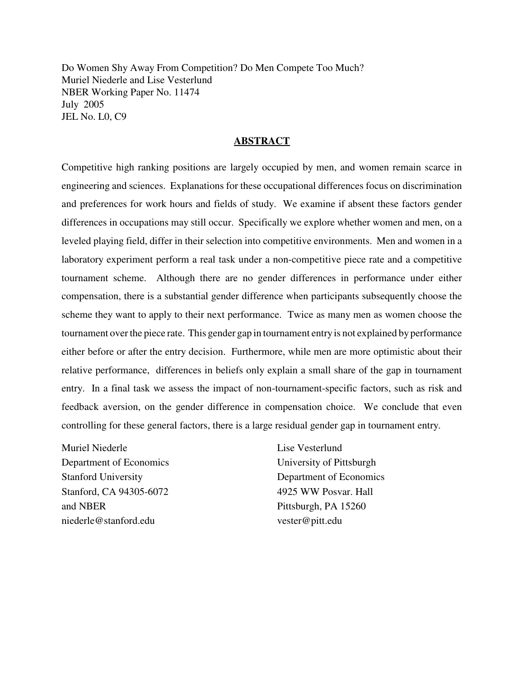Do Women Shy Away From Competition? Do Men Compete Too Much? Muriel Niederle and Lise Vesterlund NBER Working Paper No. 11474 July 2005 JEL No. L0, C9

### **ABSTRACT**

Competitive high ranking positions are largely occupied by men, and women remain scarce in engineering and sciences. Explanations for these occupational differences focus on discrimination and preferences for work hours and fields of study. We examine if absent these factors gender differences in occupations may still occur. Specifically we explore whether women and men, on a leveled playing field, differ in their selection into competitive environments. Men and women in a laboratory experiment perform a real task under a non-competitive piece rate and a competitive tournament scheme. Although there are no gender differences in performance under either compensation, there is a substantial gender difference when participants subsequently choose the scheme they want to apply to their next performance. Twice as many men as women choose the tournament overthe piece rate. This gender gap in tournament entry is not explained by performance either before or after the entry decision. Furthermore, while men are more optimistic about their relative performance, differences in beliefs only explain a small share of the gap in tournament entry. In a final task we assess the impact of non-tournament-specific factors, such as risk and feedback aversion, on the gender difference in compensation choice. We conclude that even controlling for these general factors, there is a large residual gender gap in tournament entry.

Muriel Niederle Department of Economics Stanford University Stanford, CA 94305-6072 and NBER niederle@stanford.edu

Lise Vesterlund University of Pittsburgh Department of Economics 4925 WW Posvar. Hall Pittsburgh, PA 15260 vester@pitt.edu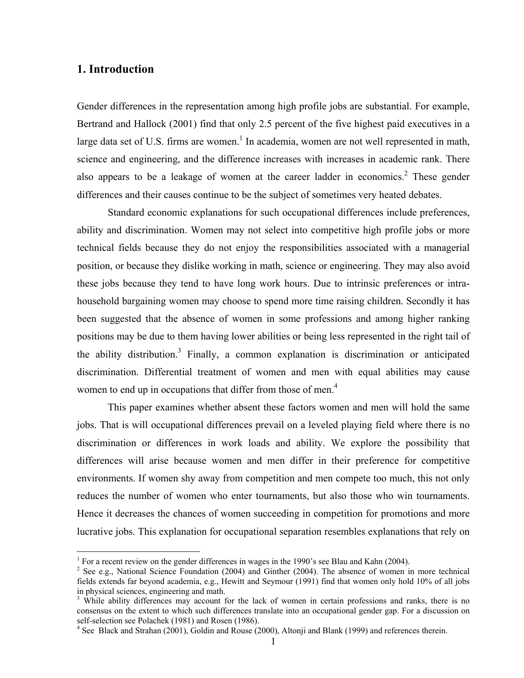# **1. Introduction**

Gender differences in the representation among high profile jobs are substantial. For example, Bertrand and Hallock (2001) find that only 2.5 percent of the five highest paid executives in a large data set of U.S. firms are women.<sup>1</sup> In academia, women are not well represented in math, science and engineering, and the difference increases with increases in academic rank. There also appears to be a leakage of women at the career ladder in economics.<sup>2</sup> These gender differences and their causes continue to be the subject of sometimes very heated debates.

 Standard economic explanations for such occupational differences include preferences, ability and discrimination. Women may not select into competitive high profile jobs or more technical fields because they do not enjoy the responsibilities associated with a managerial position, or because they dislike working in math, science or engineering. They may also avoid these jobs because they tend to have long work hours. Due to intrinsic preferences or intrahousehold bargaining women may choose to spend more time raising children. Secondly it has been suggested that the absence of women in some professions and among higher ranking positions may be due to them having lower abilities or being less represented in the right tail of the ability distribution.<sup>3</sup> Finally, a common explanation is discrimination or anticipated discrimination. Differential treatment of women and men with equal abilities may cause women to end up in occupations that differ from those of men.<sup>4</sup>

This paper examines whether absent these factors women and men will hold the same jobs. That is will occupational differences prevail on a leveled playing field where there is no discrimination or differences in work loads and ability. We explore the possibility that differences will arise because women and men differ in their preference for competitive environments. If women shy away from competition and men compete too much, this not only reduces the number of women who enter tournaments, but also those who win tournaments. Hence it decreases the chances of women succeeding in competition for promotions and more lucrative jobs. This explanation for occupational separation resembles explanations that rely on

<sup>&</sup>lt;sup>1</sup> For a recent review on the gender differences in wages in the 1990's see Blau and Kahn (2004).

 $2$  See e.g., National Science Foundation (2004) and Ginther (2004). The absence of women in more technical fields extends far beyond academia, e.g., Hewitt and Seymour (1991) find that women only hold 10% of all jobs in physical sciences, engineering and math.

<sup>&</sup>lt;sup>3</sup> While ability differences may account for the lack of women in certain professions and ranks, there is no consensus on the extent to which such differences translate into an occupational gender gap. For a discussion on self-selection see Polachek (1981) and Rosen (1986).

<sup>&</sup>lt;sup>4</sup> See Black and Strahan (2001), Goldin and Rouse (2000), Altonji and Blank (1999) and references therein.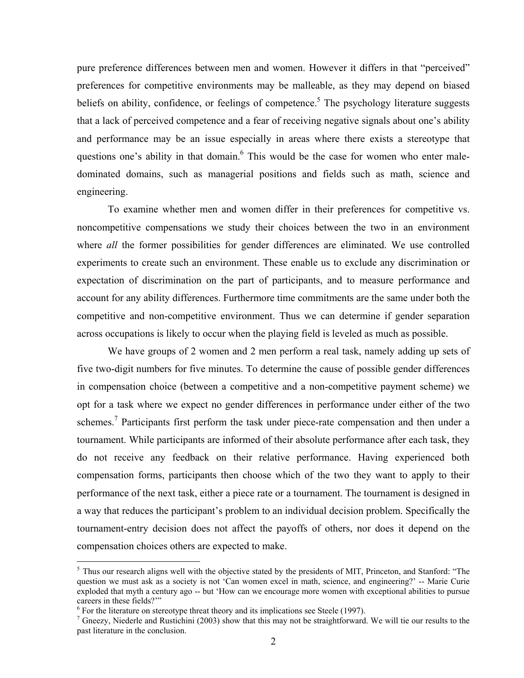pure preference differences between men and women. However it differs in that "perceived" preferences for competitive environments may be malleable, as they may depend on biased beliefs on ability, confidence, or feelings of competence.<sup>5</sup> The psychology literature suggests that a lack of perceived competence and a fear of receiving negative signals about one's ability and performance may be an issue especially in areas where there exists a stereotype that questions one's ability in that domain.<sup>6</sup> This would be the case for women who enter maledominated domains, such as managerial positions and fields such as math, science and engineering.

To examine whether men and women differ in their preferences for competitive vs. noncompetitive compensations we study their choices between the two in an environment where *all* the former possibilities for gender differences are eliminated. We use controlled experiments to create such an environment. These enable us to exclude any discrimination or expectation of discrimination on the part of participants, and to measure performance and account for any ability differences. Furthermore time commitments are the same under both the competitive and non-competitive environment. Thus we can determine if gender separation across occupations is likely to occur when the playing field is leveled as much as possible.

We have groups of 2 women and 2 men perform a real task, namely adding up sets of five two-digit numbers for five minutes. To determine the cause of possible gender differences in compensation choice (between a competitive and a non-competitive payment scheme) we opt for a task where we expect no gender differences in performance under either of the two schemes.<sup>7</sup> Participants first perform the task under piece-rate compensation and then under a tournament. While participants are informed of their absolute performance after each task, they do not receive any feedback on their relative performance. Having experienced both compensation forms, participants then choose which of the two they want to apply to their performance of the next task, either a piece rate or a tournament. The tournament is designed in a way that reduces the participant's problem to an individual decision problem. Specifically the tournament-entry decision does not affect the payoffs of others, nor does it depend on the compensation choices others are expected to make.

 $<sup>5</sup>$  Thus our research aligns well with the objective stated by the presidents of MIT, Princeton, and Stanford: "The</sup> question we must ask as a society is not 'Can women excel in math, science, and engineering?' -- Marie Curie exploded that myth a century ago -- but 'How can we encourage more women with exceptional abilities to pursue careers in these fields?""

 $6$  For the literature on stereotype threat theory and its implications see Steele (1997).

 $<sup>7</sup>$  Gneezy, Niederle and Rustichini (2003) show that this may not be straightforward. We will tie our results to the</sup> past literature in the conclusion.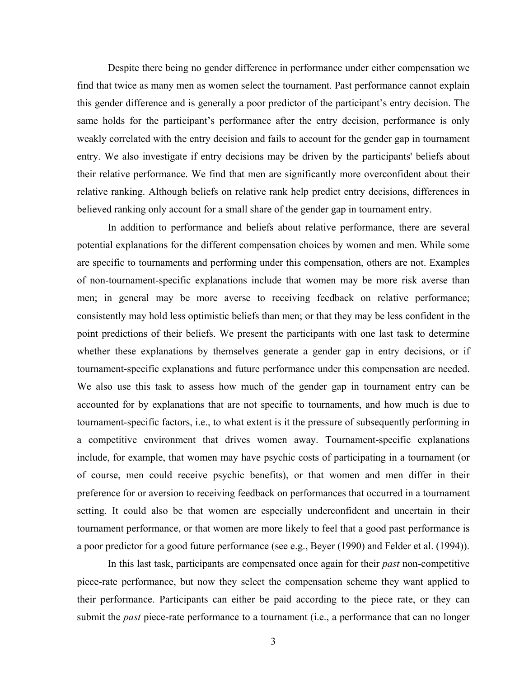Despite there being no gender difference in performance under either compensation we find that twice as many men as women select the tournament. Past performance cannot explain this gender difference and is generally a poor predictor of the participant's entry decision. The same holds for the participant's performance after the entry decision, performance is only weakly correlated with the entry decision and fails to account for the gender gap in tournament entry. We also investigate if entry decisions may be driven by the participants' beliefs about their relative performance. We find that men are significantly more overconfident about their relative ranking. Although beliefs on relative rank help predict entry decisions, differences in believed ranking only account for a small share of the gender gap in tournament entry.

In addition to performance and beliefs about relative performance, there are several potential explanations for the different compensation choices by women and men. While some are specific to tournaments and performing under this compensation, others are not. Examples of non-tournament-specific explanations include that women may be more risk averse than men; in general may be more averse to receiving feedback on relative performance; consistently may hold less optimistic beliefs than men; or that they may be less confident in the point predictions of their beliefs. We present the participants with one last task to determine whether these explanations by themselves generate a gender gap in entry decisions, or if tournament-specific explanations and future performance under this compensation are needed. We also use this task to assess how much of the gender gap in tournament entry can be accounted for by explanations that are not specific to tournaments, and how much is due to tournament-specific factors, i.e., to what extent is it the pressure of subsequently performing in a competitive environment that drives women away. Tournament-specific explanations include, for example, that women may have psychic costs of participating in a tournament (or of course, men could receive psychic benefits), or that women and men differ in their preference for or aversion to receiving feedback on performances that occurred in a tournament setting. It could also be that women are especially underconfident and uncertain in their tournament performance, or that women are more likely to feel that a good past performance is a poor predictor for a good future performance (see e.g., Beyer (1990) and Felder et al. (1994)).

In this last task, participants are compensated once again for their *past* non-competitive piece-rate performance, but now they select the compensation scheme they want applied to their performance. Participants can either be paid according to the piece rate, or they can submit the *past* piece-rate performance to a tournament (i.e., a performance that can no longer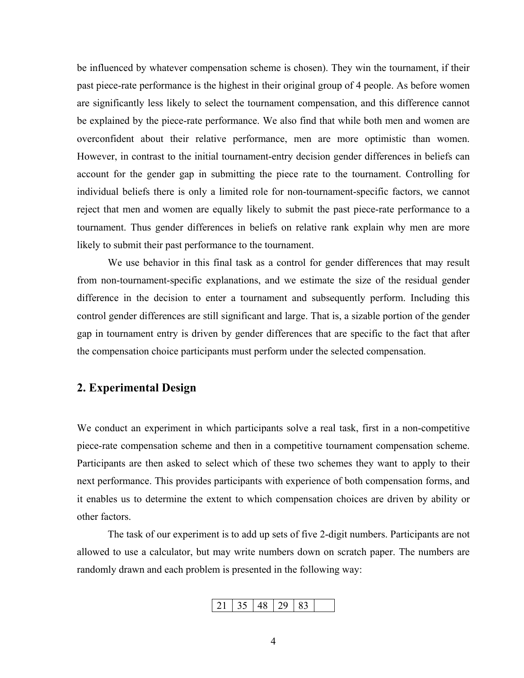be influenced by whatever compensation scheme is chosen). They win the tournament, if their past piece-rate performance is the highest in their original group of 4 people. As before women are significantly less likely to select the tournament compensation, and this difference cannot be explained by the piece-rate performance. We also find that while both men and women are overconfident about their relative performance, men are more optimistic than women. However, in contrast to the initial tournament-entry decision gender differences in beliefs can account for the gender gap in submitting the piece rate to the tournament. Controlling for individual beliefs there is only a limited role for non-tournament-specific factors, we cannot reject that men and women are equally likely to submit the past piece-rate performance to a tournament. Thus gender differences in beliefs on relative rank explain why men are more likely to submit their past performance to the tournament.

We use behavior in this final task as a control for gender differences that may result from non-tournament-specific explanations, and we estimate the size of the residual gender difference in the decision to enter a tournament and subsequently perform. Including this control gender differences are still significant and large. That is, a sizable portion of the gender gap in tournament entry is driven by gender differences that are specific to the fact that after the compensation choice participants must perform under the selected compensation.

# **2. Experimental Design**

We conduct an experiment in which participants solve a real task, first in a non-competitive piece-rate compensation scheme and then in a competitive tournament compensation scheme. Participants are then asked to select which of these two schemes they want to apply to their next performance. This provides participants with experience of both compensation forms, and it enables us to determine the extent to which compensation choices are driven by ability or other factors.

 The task of our experiment is to add up sets of five 2-digit numbers. Participants are not allowed to use a calculator, but may write numbers down on scratch paper. The numbers are randomly drawn and each problem is presented in the following way:

$$
21 | 35 | 48 | 29 | 83 |
$$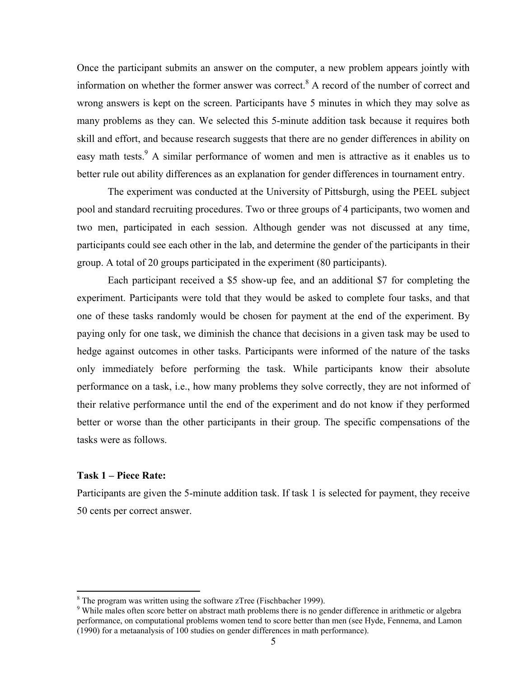Once the participant submits an answer on the computer, a new problem appears jointly with information on whether the former answer was correct.<sup>8</sup> A record of the number of correct and wrong answers is kept on the screen. Participants have 5 minutes in which they may solve as many problems as they can. We selected this 5-minute addition task because it requires both skill and effort, and because research suggests that there are no gender differences in ability on easy math tests.<sup>9</sup> A similar performance of women and men is attractive as it enables us to better rule out ability differences as an explanation for gender differences in tournament entry.

 The experiment was conducted at the University of Pittsburgh, using the PEEL subject pool and standard recruiting procedures. Two or three groups of 4 participants, two women and two men, participated in each session. Although gender was not discussed at any time, participants could see each other in the lab, and determine the gender of the participants in their group. A total of 20 groups participated in the experiment (80 participants).

Each participant received a \$5 show-up fee, and an additional \$7 for completing the experiment. Participants were told that they would be asked to complete four tasks, and that one of these tasks randomly would be chosen for payment at the end of the experiment. By paying only for one task, we diminish the chance that decisions in a given task may be used to hedge against outcomes in other tasks. Participants were informed of the nature of the tasks only immediately before performing the task. While participants know their absolute performance on a task, i.e., how many problems they solve correctly, they are not informed of their relative performance until the end of the experiment and do not know if they performed better or worse than the other participants in their group. The specific compensations of the tasks were as follows.

### **Task 1 – Piece Rate:**

Participants are given the 5-minute addition task. If task 1 is selected for payment, they receive 50 cents per correct answer.

 $\frac{8}{\text{The program was written using the software zTree (Fischbacher 1999).}$ 

<sup>&</sup>lt;sup>9</sup> While males often score better on abstract math problems there is no gender difference in arithmetic or algebra performance, on computational problems women tend to score better than men (see Hyde, Fennema, and Lamon (1990) for a metaanalysis of 100 studies on gender differences in math performance).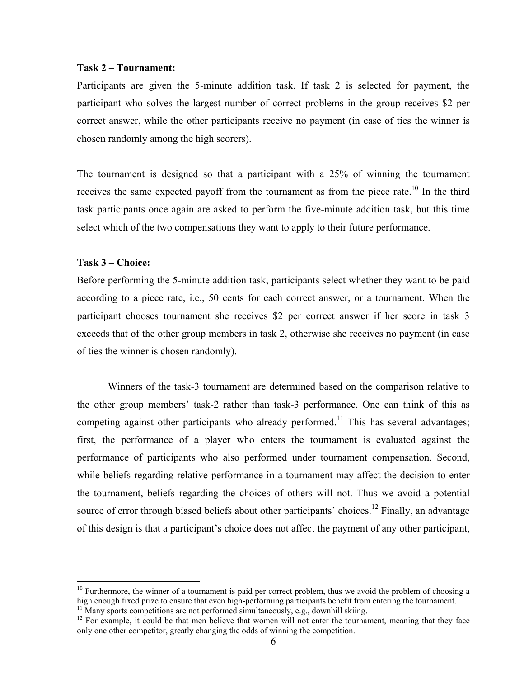#### **Task 2 – Tournament:**

Participants are given the 5-minute addition task. If task 2 is selected for payment, the participant who solves the largest number of correct problems in the group receives \$2 per correct answer, while the other participants receive no payment (in case of ties the winner is chosen randomly among the high scorers).

The tournament is designed so that a participant with a 25% of winning the tournament receives the same expected payoff from the tournament as from the piece rate.<sup>10</sup> In the third task participants once again are asked to perform the five-minute addition task, but this time select which of the two compensations they want to apply to their future performance.

#### **Task 3 – Choice:**

 $\overline{a}$ 

Before performing the 5-minute addition task, participants select whether they want to be paid according to a piece rate, i.e., 50 cents for each correct answer, or a tournament. When the participant chooses tournament she receives \$2 per correct answer if her score in task 3 exceeds that of the other group members in task 2, otherwise she receives no payment (in case of ties the winner is chosen randomly).

 Winners of the task-3 tournament are determined based on the comparison relative to the other group members' task-2 rather than task-3 performance. One can think of this as competing against other participants who already performed.<sup>11</sup> This has several advantages; first, the performance of a player who enters the tournament is evaluated against the performance of participants who also performed under tournament compensation. Second, while beliefs regarding relative performance in a tournament may affect the decision to enter the tournament, beliefs regarding the choices of others will not. Thus we avoid a potential source of error through biased beliefs about other participants' choices.<sup>12</sup> Finally, an advantage of this design is that a participant's choice does not affect the payment of any other participant,

 $10$  Furthermore, the winner of a tournament is paid per correct problem, thus we avoid the problem of choosing a high enough fixed prize to ensure that even high-performing participants benefit from entering the tournament.

 $11$  Many sports competitions are not performed simultaneously, e.g., downhill skiing.

<sup>&</sup>lt;sup>12</sup> For example, it could be that men believe that women will not enter the tournament, meaning that they face only one other competitor, greatly changing the odds of winning the competition.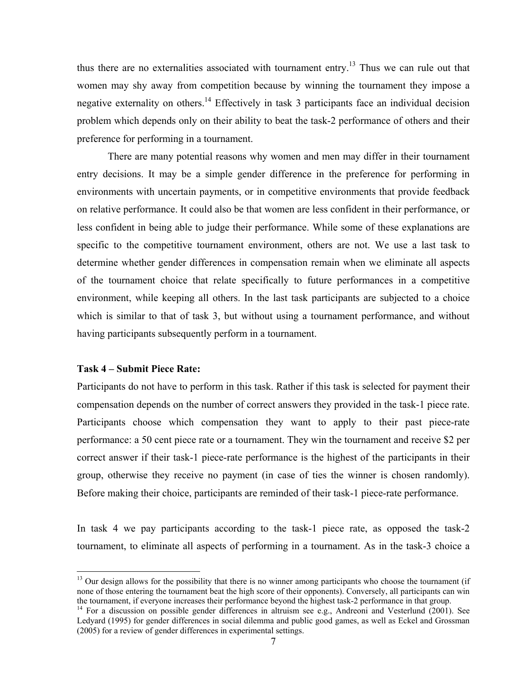thus there are no externalities associated with tournament entry.<sup>13</sup> Thus we can rule out that women may shy away from competition because by winning the tournament they impose a negative externality on others.<sup>14</sup> Effectively in task 3 participants face an individual decision problem which depends only on their ability to beat the task-2 performance of others and their preference for performing in a tournament.

 There are many potential reasons why women and men may differ in their tournament entry decisions. It may be a simple gender difference in the preference for performing in environments with uncertain payments, or in competitive environments that provide feedback on relative performance. It could also be that women are less confident in their performance, or less confident in being able to judge their performance. While some of these explanations are specific to the competitive tournament environment, others are not. We use a last task to determine whether gender differences in compensation remain when we eliminate all aspects of the tournament choice that relate specifically to future performances in a competitive environment, while keeping all others. In the last task participants are subjected to a choice which is similar to that of task 3, but without using a tournament performance, and without having participants subsequently perform in a tournament.

#### **Task 4 – Submit Piece Rate:**

 $\overline{a}$ 

Participants do not have to perform in this task. Rather if this task is selected for payment their compensation depends on the number of correct answers they provided in the task-1 piece rate. Participants choose which compensation they want to apply to their past piece-rate performance: a 50 cent piece rate or a tournament. They win the tournament and receive \$2 per correct answer if their task-1 piece-rate performance is the highest of the participants in their group, otherwise they receive no payment (in case of ties the winner is chosen randomly). Before making their choice, participants are reminded of their task-1 piece-rate performance.

In task 4 we pay participants according to the task-1 piece rate, as opposed the task-2 tournament, to eliminate all aspects of performing in a tournament. As in the task-3 choice a

 $13$  Our design allows for the possibility that there is no winner among participants who choose the tournament (if none of those entering the tournament beat the high score of their opponents). Conversely, all participants can win<br>the tournament, if everyone increases their performance beyond the highest task-2 performance in that grou

<sup>&</sup>lt;sup>14</sup> For a discussion on possible gender differences in altruism see e.g., Andreoni and Vesterlund (2001). See Ledyard (1995) for gender differences in social dilemma and public good games, as well as Eckel and Grossman (2005) for a review of gender differences in experimental settings.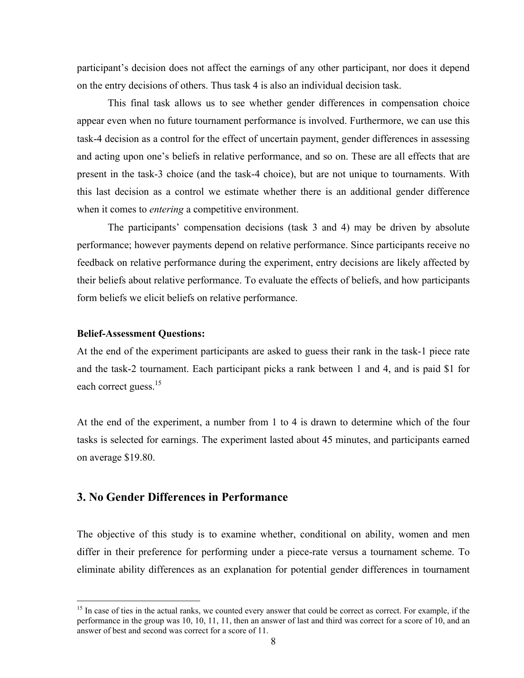participant's decision does not affect the earnings of any other participant, nor does it depend on the entry decisions of others. Thus task 4 is also an individual decision task.

This final task allows us to see whether gender differences in compensation choice appear even when no future tournament performance is involved. Furthermore, we can use this task-4 decision as a control for the effect of uncertain payment, gender differences in assessing and acting upon one's beliefs in relative performance, and so on. These are all effects that are present in the task-3 choice (and the task-4 choice), but are not unique to tournaments. With this last decision as a control we estimate whether there is an additional gender difference when it comes to *entering* a competitive environment.

The participants' compensation decisions (task 3 and 4) may be driven by absolute performance; however payments depend on relative performance. Since participants receive no feedback on relative performance during the experiment, entry decisions are likely affected by their beliefs about relative performance. To evaluate the effects of beliefs, and how participants form beliefs we elicit beliefs on relative performance.

#### **Belief-Assessment Questions:**

 $\overline{a}$ 

At the end of the experiment participants are asked to guess their rank in the task-1 piece rate and the task-2 tournament. Each participant picks a rank between 1 and 4, and is paid \$1 for each correct guess.<sup>15</sup>

At the end of the experiment, a number from 1 to 4 is drawn to determine which of the four tasks is selected for earnings. The experiment lasted about 45 minutes, and participants earned on average \$19.80.

# **3. No Gender Differences in Performance**

The objective of this study is to examine whether, conditional on ability, women and men differ in their preference for performing under a piece-rate versus a tournament scheme. To eliminate ability differences as an explanation for potential gender differences in tournament

<sup>&</sup>lt;sup>15</sup> In case of ties in the actual ranks, we counted every answer that could be correct as correct. For example, if the performance in the group was 10, 10, 11, 11, then an answer of last and third was correct for a score of 10, and an answer of best and second was correct for a score of 11.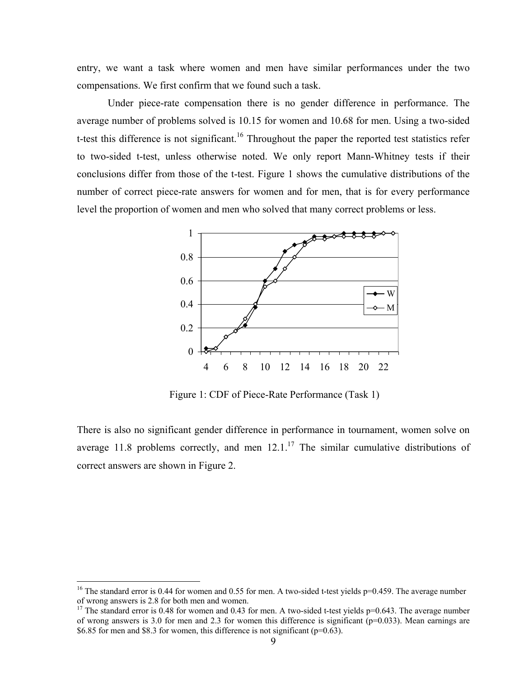entry, we want a task where women and men have similar performances under the two compensations. We first confirm that we found such a task.

Under piece-rate compensation there is no gender difference in performance. The average number of problems solved is 10.15 for women and 10.68 for men. Using a two-sided t-test this difference is not significant.<sup>16</sup> Throughout the paper the reported test statistics refer to two-sided t-test, unless otherwise noted. We only report Mann-Whitney tests if their conclusions differ from those of the t-test. Figure 1 shows the cumulative distributions of the number of correct piece-rate answers for women and for men, that is for every performance level the proportion of women and men who solved that many correct problems or less.



Figure 1: CDF of Piece-Rate Performance (Task 1)

There is also no significant gender difference in performance in tournament, women solve on average 11.8 problems correctly, and men  $12.1<sup>17</sup>$  The similar cumulative distributions of correct answers are shown in Figure 2.

<sup>&</sup>lt;sup>16</sup> The standard error is 0.44 for women and 0.55 for men. A two-sided t-test yields  $p=0.459$ . The average number of wrong answers is 2.8 for both men and women.

<sup>&</sup>lt;sup>17</sup> The standard error is 0.48 for women and 0.43 for men. A two-sided t-test yields  $p=0.643$ . The average number of wrong answers is 3.0 for men and 2.3 for women this difference is significant ( $p=0.033$ ). Mean earnings are \$6.85 for men and \$8.3 for women, this difference is not significant ( $p=0.63$ ).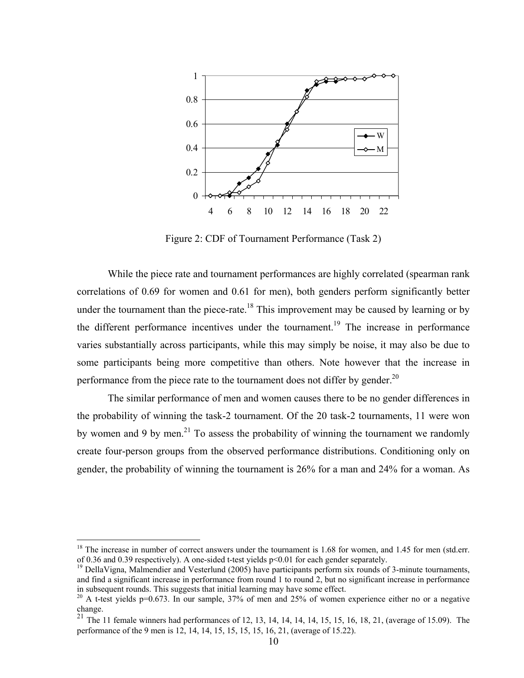

Figure 2: CDF of Tournament Performance (Task 2)

While the piece rate and tournament performances are highly correlated (spearman rank correlations of 0.69 for women and 0.61 for men), both genders perform significantly better under the tournament than the piece-rate.<sup>18</sup> This improvement may be caused by learning or by the different performance incentives under the tournament.<sup>19</sup> The increase in performance varies substantially across participants, while this may simply be noise, it may also be due to some participants being more competitive than others. Note however that the increase in performance from the piece rate to the tournament does not differ by gender.<sup>20</sup>

The similar performance of men and women causes there to be no gender differences in the probability of winning the task-2 tournament. Of the 20 task-2 tournaments, 11 were won by women and 9 by men.<sup>21</sup> To assess the probability of winning the tournament we randomly create four-person groups from the observed performance distributions. Conditioning only on gender, the probability of winning the tournament is 26% for a man and 24% for a woman. As

<sup>&</sup>lt;sup>18</sup> The increase in number of correct answers under the tournament is 1.68 for women, and 1.45 for men (std.err. of 0.36 and 0.39 respectively). A one-sided t-test yields p<0.01 for each gender separately.  $19$  DellaVigna, Malmendier and Vesterlund (2005) have participants perform six rounds of 3-minute tournaments,

and find a significant increase in performance from round 1 to round 2, but no significant increase in performance in subsequent rounds. This suggests that initial learning may have some effect.

<sup>&</sup>lt;sup>20</sup> A t-test yields p=0.673. In our sample, 37% of men and 25% of women experience either no or a negative change.

<sup>&</sup>lt;sup>21</sup> The 11 female winners had performances of 12, 13, 14, 14, 14, 14, 15, 15, 16, 18, 21, (average of 15.09). The performance of the 9 men is 12, 14, 14, 15, 15, 15, 15, 16, 21, (average of 15.22).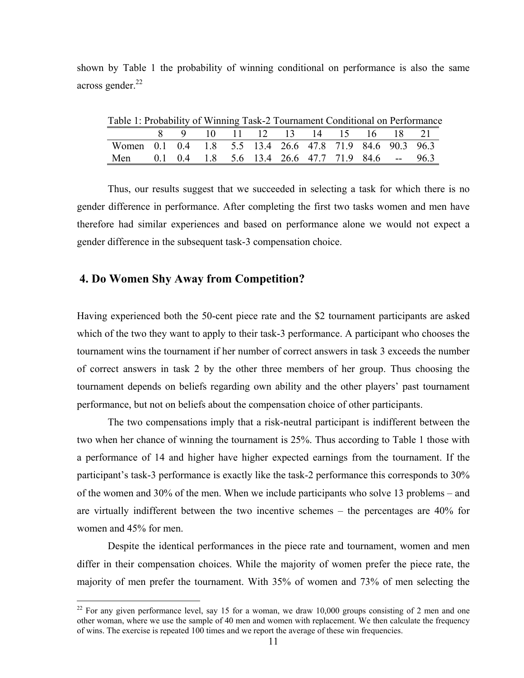shown by Table 1 the probability of winning conditional on performance is also the same across gender. $^{22}$ 

| Table 1: Probability of Winning Task-2 Tournament Conditional on Performance |  |                                |  |  |  |  |
|------------------------------------------------------------------------------|--|--------------------------------|--|--|--|--|
|                                                                              |  | 8 9 10 11 12 13 14 15 16 18 21 |  |  |  |  |
| Women 0.1 0.4 1.8 5.5 13.4 26.6 47.8 71.9 84.6 90.3 96.3                     |  |                                |  |  |  |  |
| Men 0.1 0.4 1.8 5.6 13.4 26.6 47.7 71.9 84.6 -- 96.3                         |  |                                |  |  |  |  |

Table 1: Probability of Winning Task-2 Tournament Conditional on Performance

Thus, our results suggest that we succeeded in selecting a task for which there is no gender difference in performance. After completing the first two tasks women and men have therefore had similar experiences and based on performance alone we would not expect a gender difference in the subsequent task-3 compensation choice.

# **4. Do Women Shy Away from Competition?**

 $\overline{a}$ 

Having experienced both the 50-cent piece rate and the \$2 tournament participants are asked which of the two they want to apply to their task-3 performance. A participant who chooses the tournament wins the tournament if her number of correct answers in task 3 exceeds the number of correct answers in task 2 by the other three members of her group. Thus choosing the tournament depends on beliefs regarding own ability and the other players' past tournament performance, but not on beliefs about the compensation choice of other participants.

The two compensations imply that a risk-neutral participant is indifferent between the two when her chance of winning the tournament is 25%. Thus according to Table 1 those with a performance of 14 and higher have higher expected earnings from the tournament. If the participant's task-3 performance is exactly like the task-2 performance this corresponds to 30% of the women and 30% of the men. When we include participants who solve 13 problems – and are virtually indifferent between the two incentive schemes – the percentages are 40% for women and 45% for men.

Despite the identical performances in the piece rate and tournament, women and men differ in their compensation choices. While the majority of women prefer the piece rate, the majority of men prefer the tournament. With 35% of women and 73% of men selecting the

 $22$  For any given performance level, say 15 for a woman, we draw 10,000 groups consisting of 2 men and one other woman, where we use the sample of 40 men and women with replacement. We then calculate the frequency of wins. The exercise is repeated 100 times and we report the average of these win frequencies.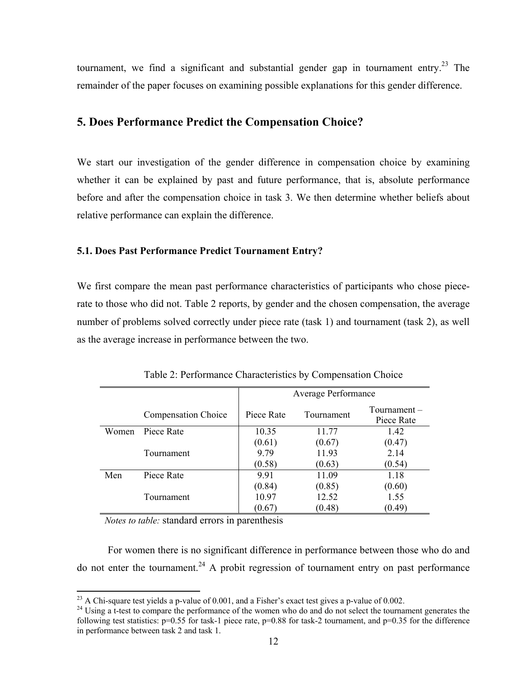tournament, we find a significant and substantial gender gap in tournament entry.<sup>23</sup> The remainder of the paper focuses on examining possible explanations for this gender difference.

# **5. Does Performance Predict the Compensation Choice?**

We start our investigation of the gender difference in compensation choice by examining whether it can be explained by past and future performance, that is, absolute performance before and after the compensation choice in task 3. We then determine whether beliefs about relative performance can explain the difference.

### **5.1. Does Past Performance Predict Tournament Entry?**

We first compare the mean past performance characteristics of participants who chose piecerate to those who did not. Table 2 reports, by gender and the chosen compensation, the average number of problems solved correctly under piece rate (task 1) and tournament (task 2), as well as the average increase in performance between the two.

|       |                            | <b>Average Performance</b> |            |                            |  |
|-------|----------------------------|----------------------------|------------|----------------------------|--|
|       | <b>Compensation Choice</b> | Piece Rate                 | Tournament | Tournament –<br>Piece Rate |  |
| Women | Piece Rate                 | 10.35                      | 11.77      | 1.42                       |  |
|       |                            | (0.61)                     | (0.67)     | (0.47)                     |  |
|       | Tournament                 | 9.79                       | 11.93      | 2.14                       |  |
|       |                            | (0.58)                     | (0.63)     | (0.54)                     |  |
| Men   | Piece Rate                 | 9.91                       | 11.09      | 1.18                       |  |
|       |                            | (0.84)                     | (0.85)     | (0.60)                     |  |
|       | Tournament                 | 10.97                      | 12.52      | 1.55                       |  |
|       |                            | (0.67)                     | (0.48)     | (0.49)                     |  |

Table 2: Performance Characteristics by Compensation Choice

*Notes to table:* standard errors in parenthesis

For women there is no significant difference in performance between those who do and do not enter the tournament.<sup>24</sup> A probit regression of tournament entry on past performance

<sup>&</sup>lt;sup>23</sup> A Chi-square test vields a p-value of 0.001, and a Fisher's exact test gives a p-value of 0.002.

 $^{24}$  Using a t-test to compare the performance of the women who do and do not select the tournament generates the following test statistics:  $p=0.55$  for task-1 piece rate,  $p=0.88$  for task-2 tournament, and  $p=0.35$  for the difference in performance between task 2 and task 1.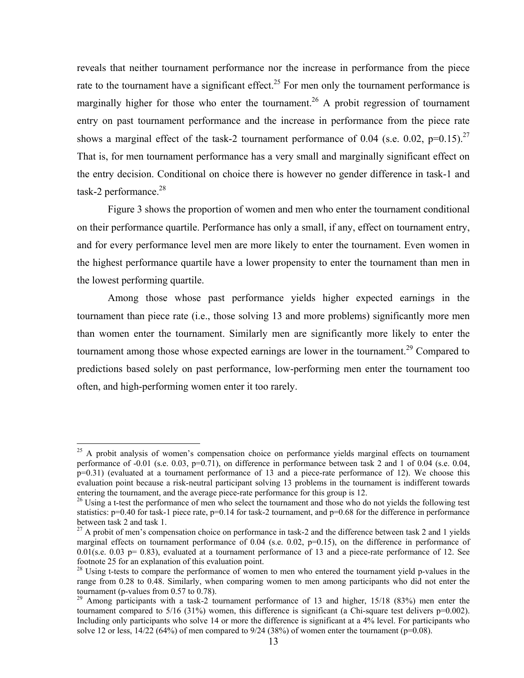reveals that neither tournament performance nor the increase in performance from the piece rate to the tournament have a significant effect.<sup>25</sup> For men only the tournament performance is marginally higher for those who enter the tournament.<sup>26</sup> A probit regression of tournament entry on past tournament performance and the increase in performance from the piece rate shows a marginal effect of the task-2 tournament performance of 0.04 (s.e. 0.02, p=0.15).<sup>27</sup> That is, for men tournament performance has a very small and marginally significant effect on the entry decision. Conditional on choice there is however no gender difference in task-1 and task-2 performance. $^{28}$ 

 Figure 3 shows the proportion of women and men who enter the tournament conditional on their performance quartile. Performance has only a small, if any, effect on tournament entry, and for every performance level men are more likely to enter the tournament. Even women in the highest performance quartile have a lower propensity to enter the tournament than men in the lowest performing quartile.

Among those whose past performance yields higher expected earnings in the tournament than piece rate (i.e., those solving 13 and more problems) significantly more men than women enter the tournament. Similarly men are significantly more likely to enter the tournament among those whose expected earnings are lower in the tournament.<sup>29</sup> Compared to predictions based solely on past performance, low-performing men enter the tournament too often, and high-performing women enter it too rarely.

<sup>&</sup>lt;sup>25</sup> A probit analysis of women's compensation choice on performance yields marginal effects on tournament performance of  $-0.01$  (s.e. 0.03, p=0.71), on difference in performance between task 2 and 1 of 0.04 (s.e. 0.04, p=0.31) (evaluated at a tournament performance of 13 and a piece-rate performance of 12). We choose this evaluation point because a risk-neutral participant solving 13 problems in the tournament is indifferent towards entering the tournament, and the average piece-rate performance for this group is 12.<br><sup>26</sup> Using a t-test the performance of men who select the tournament and those who do not yields the following test

statistics:  $p=0.40$  for task-1 piece rate,  $p=0.14$  for task-2 tournament, and  $p=0.68$  for the difference in performance between task 2 and task 1.

 $^{27}$  A probit of men's compensation choice on performance in task-2 and the difference between task 2 and 1 yields marginal effects on tournament performance of  $0.04$  (s.e.  $0.02$ ,  $p=0.15$ ), on the difference in performance of  $0.01$ (s.e.  $0.03$  p= 0.83), evaluated at a tournament performance of 13 and a piece-rate performance of 12. See footnote 25 for an explanation of this evaluation point.

<sup>&</sup>lt;sup>28</sup> Using t-tests to compare the performance of women to men who entered the tournament yield p-values in the range from 0.28 to 0.48. Similarly, when comparing women to men among participants who did not enter the tournament (p-values from 0.57 to 0.78).

 $29$  Among participants with a task-2 tournament performance of 13 and higher, 15/18 (83%) men enter the tournament compared to  $5/16$  (31%) women, this difference is significant (a Chi-square test delivers  $p=0.002$ ). Including only participants who solve 14 or more the difference is significant at a 4% level. For participants who solve 12 or less,  $14/22$  (64%) of men compared to  $9/24$  (38%) of women enter the tournament (p=0.08).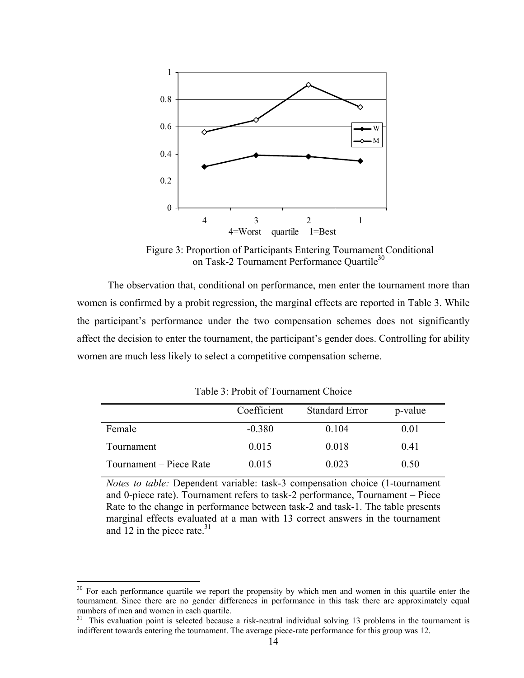

 Figure 3: Proportion of Participants Entering Tournament Conditional on Task-2 Tournament Performance Quartile<sup>30</sup>

The observation that, conditional on performance, men enter the tournament more than women is confirmed by a probit regression, the marginal effects are reported in Table 3. While the participant's performance under the two compensation schemes does not significantly affect the decision to enter the tournament, the participant's gender does. Controlling for ability women are much less likely to select a competitive compensation scheme.

|                         | Coefficient | <b>Standard Error</b> | p-value |
|-------------------------|-------------|-----------------------|---------|
| Female                  | $-0.380$    | 0.104                 | 0.01    |
| Tournament              | 0.015       | 0.018                 | 0.41    |
| Tournament – Piece Rate | 0.015       | 0.023                 | 0.50    |

Table 3: Probit of Tournament Choice

*Notes to table:* Dependent variable: task-3 compensation choice (1-tournament and 0-piece rate). Tournament refers to task-2 performance, Tournament – Piece Rate to the change in performance between task-2 and task-1. The table presents marginal effects evaluated at a man with 13 correct answers in the tournament and 12 in the piece rate. $31$ 

<sup>&</sup>lt;sup>30</sup> For each performance quartile we report the propensity by which men and women in this quartile enter the tournament. Since there are no gender differences in performance in this task there are approximately equal numbers of men and women in each quartile.

<sup>&</sup>lt;sup>31</sup> This evaluation point is selected because a risk-neutral individual solving 13 problems in the tournament is indifferent towards entering the tournament. The average piece-rate performance for this group was 12.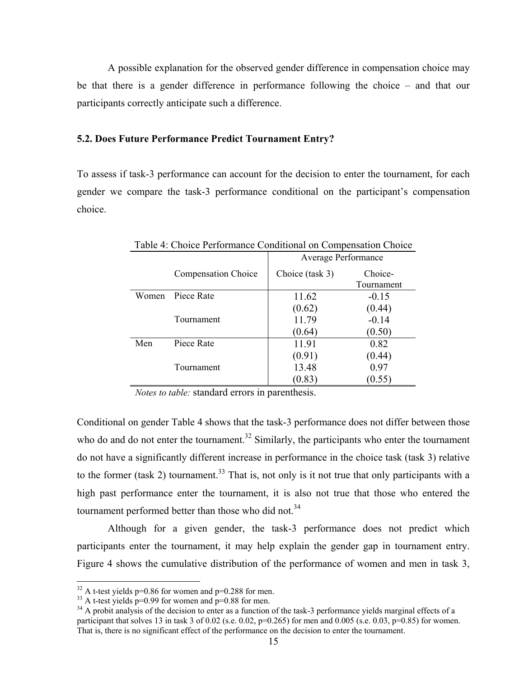A possible explanation for the observed gender difference in compensation choice may be that there is a gender difference in performance following the choice – and that our participants correctly anticipate such a difference.

#### **5.2. Does Future Performance Predict Tournament Entry?**

To assess if task-3 performance can account for the decision to enter the tournament, for each gender we compare the task-3 performance conditional on the participant's compensation choice.

|       | Table 4: Choice Performance Conditional on Compensation Choice |                 |                       |  |  |  |
|-------|----------------------------------------------------------------|-----------------|-----------------------|--|--|--|
|       | Average Performance                                            |                 |                       |  |  |  |
|       | <b>Compensation Choice</b>                                     | Choice (task 3) | Choice-<br>Tournament |  |  |  |
| Women | Piece Rate                                                     | 11.62           | $-0.15$               |  |  |  |
|       |                                                                | (0.62)          | (0.44)                |  |  |  |
|       | Tournament                                                     | 11.79           | $-0.14$               |  |  |  |
|       |                                                                | (0.64)          | (0.50)                |  |  |  |
| Men   | Piece Rate                                                     | 11.91           | 0.82                  |  |  |  |
|       |                                                                | (0.91)          | (0.44)                |  |  |  |
|       | Tournament                                                     | 13.48           | 0.97                  |  |  |  |
|       |                                                                | (0.83)          | (0.55)                |  |  |  |

*Notes to table:* standard errors in parenthesis.

Conditional on gender Table 4 shows that the task-3 performance does not differ between those who do and do not enter the tournament.<sup>32</sup> Similarly, the participants who enter the tournament do not have a significantly different increase in performance in the choice task (task 3) relative to the former (task 2) tournament.<sup>33</sup> That is, not only is it not true that only participants with a high past performance enter the tournament, it is also not true that those who entered the tournament performed better than those who did not.<sup>34</sup>

Although for a given gender, the task-3 performance does not predict which participants enter the tournament, it may help explain the gender gap in tournament entry. Figure 4 shows the cumulative distribution of the performance of women and men in task 3,

1

 $32$  A t-test yields p=0.86 for women and p=0.288 for men.

 $33$  A t-test yields p=0.99 for women and p=0.88 for men.

 $34$  A probit analysis of the decision to enter as a function of the task-3 performance yields marginal effects of a participant that solves 13 in task 3 of 0.02 (s.e. 0.02,  $p=0.265$ ) for men and 0.005 (s.e. 0.03,  $p=0.85$ ) for women. That is, there is no significant effect of the performance on the decision to enter the tournament.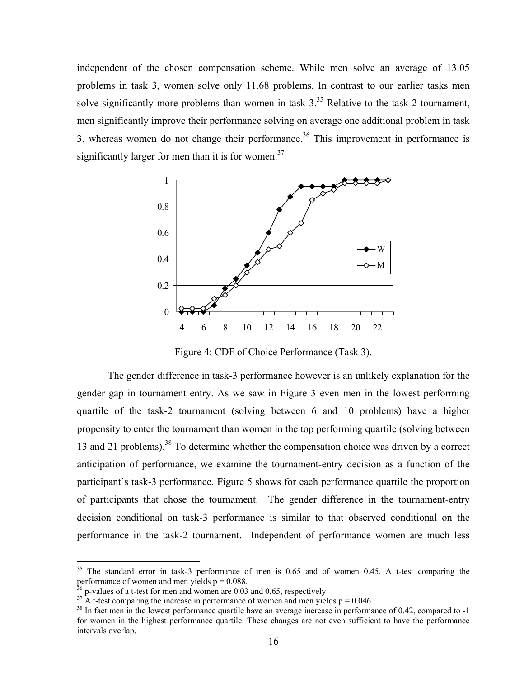independent of the chosen compensation scheme. While men solve an average of 13.05 problems in task 3, women solve only 11.68 problems. In contrast to our earlier tasks men solve significantly more problems than women in task  $3<sup>35</sup>$  Relative to the task-2 tournament, men significantly improve their performance solving on average one additional problem in task 3, whereas women do not change their performance.<sup>36</sup> This improvement in performance is significantly larger for men than it is for women. $37$ 



Figure 4: CDF of Choice Performance (Task 3).

The gender difference in task-3 performance however is an unlikely explanation for the gender gap in tournament entry. As we saw in Figure 3 even men in the lowest performing quartile of the task-2 tournament (solving between 6 and 10 problems) have a higher propensity to enter the tournament than women in the top performing quartile (solving between 13 and 21 problems).<sup>38</sup> To determine whether the compensation choice was driven by a correct anticipation of performance, we examine the tournament-entry decision as a function of the participant's task-3 performance. Figure 5 shows for each performance quartile the proportion of participants that chose the tournament. The gender difference in the tournament-entry decision conditional on task-3 performance is similar to that observed conditional on the performance in the task-2 tournament. Independent of performance women are much less

1

<sup>&</sup>lt;sup>35</sup> The standard error in task-3 performance of men is 0.65 and of women 0.45. A t-test comparing the performance of women and men yields  $p = 0.088$ .

<sup>&</sup>lt;sup>36</sup> p-values of a t-test for men and women are 0.03 and 0.65, respectively.<br><sup>37</sup> A t-test comparing the increase in performance of women and men yields  $p = 0.046$ .

 $38$  In fact men in the lowest performance quartile have an average increase in performance of 0.42, compared to -1 for women in the highest performance quartile. These changes are not even sufficient to have the performance intervals overlap.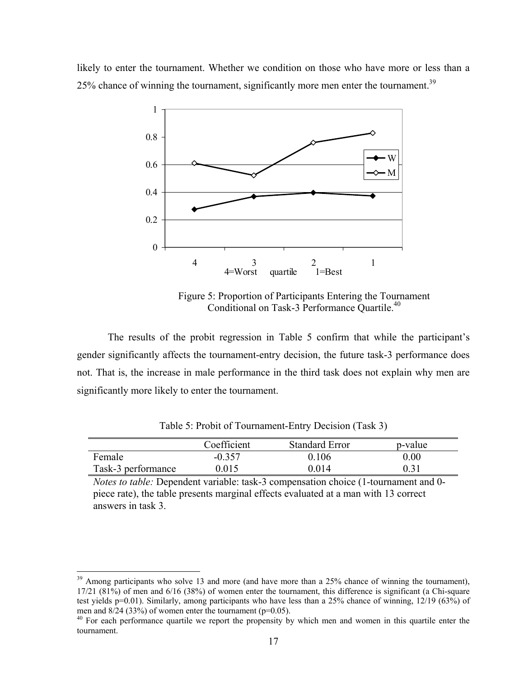likely to enter the tournament. Whether we condition on those who have more or less than a  $25\%$  chance of winning the tournament, significantly more men enter the tournament.<sup>39</sup>



Figure 5: Proportion of Participants Entering the Tournament Conditional on Task-3 Performance Quartile.<sup>40</sup>

The results of the probit regression in Table 5 confirm that while the participant's gender significantly affects the tournament-entry decision, the future task-3 performance does not. That is, the increase in male performance in the third task does not explain why men are significantly more likely to enter the tournament.

|                    | Coefficient | <b>Standard Error</b> | p-value |  |
|--------------------|-------------|-----------------------|---------|--|
| Female             | $-0.357$    | 0.106                 | 0.00    |  |
| Task-3 performance | 0.015       | 0 O 14                | 0.31    |  |

Table 5: Probit of Tournament-Entry Decision (Task 3)

*Notes to table:* Dependent variable: task-3 compensation choice (1-tournament and 0 piece rate), the table presents marginal effects evaluated at a man with 13 correct answers in task 3.

 $39$  Among participants who solve 13 and more (and have more than a 25% chance of winning the tournament), 17/21 (81%) of men and 6/16 (38%) of women enter the tournament, this difference is significant (a Chi-square test yields p=0.01). Similarly, among participants who have less than a 25% chance of winning, 12/19 (63%) of men and 8/24 (33%) of women enter the tournament (p=0.05).

<sup>&</sup>lt;sup>40</sup> For each performance quartile we report the propensity by which men and women in this quartile enter the tournament.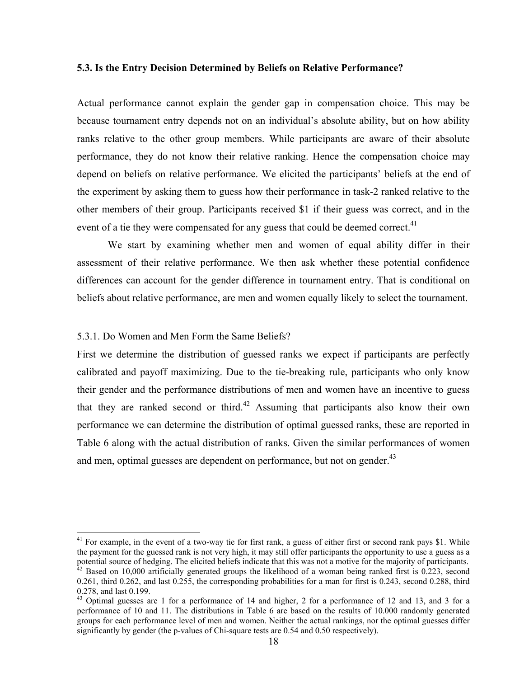#### **5.3. Is the Entry Decision Determined by Beliefs on Relative Performance?**

Actual performance cannot explain the gender gap in compensation choice. This may be because tournament entry depends not on an individual's absolute ability, but on how ability ranks relative to the other group members. While participants are aware of their absolute performance, they do not know their relative ranking. Hence the compensation choice may depend on beliefs on relative performance. We elicited the participants' beliefs at the end of the experiment by asking them to guess how their performance in task-2 ranked relative to the other members of their group. Participants received \$1 if their guess was correct, and in the event of a tie they were compensated for any guess that could be deemed correct.<sup>41</sup>

We start by examining whether men and women of equal ability differ in their assessment of their relative performance. We then ask whether these potential confidence differences can account for the gender difference in tournament entry. That is conditional on beliefs about relative performance, are men and women equally likely to select the tournament.

#### 5.3.1. Do Women and Men Form the Same Beliefs?

 $\overline{a}$ 

First we determine the distribution of guessed ranks we expect if participants are perfectly calibrated and payoff maximizing. Due to the tie-breaking rule, participants who only know their gender and the performance distributions of men and women have an incentive to guess that they are ranked second or third.<sup>42</sup> Assuming that participants also know their own performance we can determine the distribution of optimal guessed ranks, these are reported in Table 6 along with the actual distribution of ranks. Given the similar performances of women and men, optimal guesses are dependent on performance, but not on gender.<sup>43</sup>

 $41$  For example, in the event of a two-way tie for first rank, a guess of either first or second rank pays \$1. While the payment for the guessed rank is not very high, it may still offer participants the opportunity to use a guess as a potential source of hedging. The elicited beliefs indicate that this was not a motive for the majority of participants.<br><sup>42</sup> Based on 10,000 artificially generated groups the likelihood of a woman being ranked first is 0.2

<sup>0.261,</sup> third 0.262, and last 0.255, the corresponding probabilities for a man for first is 0.243, second 0.288, third 0.278, and last 0.199.

<sup>&</sup>lt;sup>43</sup> Optimal guesses are 1 for a performance of 14 and higher, 2 for a performance of 12 and 13, and 3 for a performance of 10 and 11. The distributions in Table 6 are based on the results of 10.000 randomly generated groups for each performance level of men and women. Neither the actual rankings, nor the optimal guesses differ significantly by gender (the p-values of Chi-square tests are 0.54 and 0.50 respectively).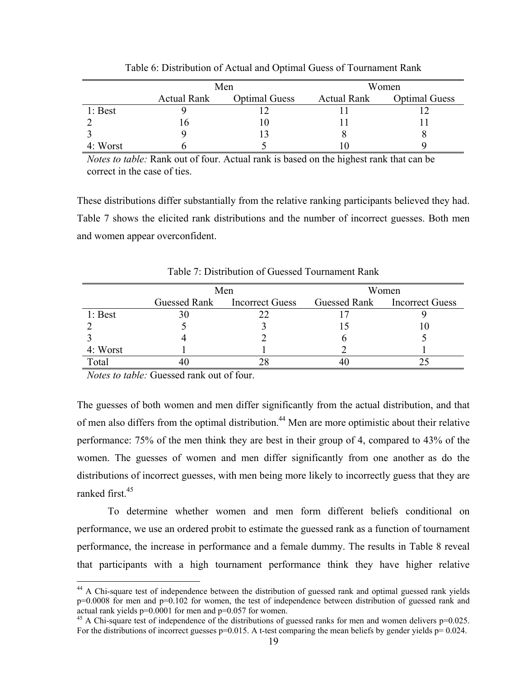|           |                    | Men                  | Women              |                      |  |
|-----------|--------------------|----------------------|--------------------|----------------------|--|
|           | <b>Actual Rank</b> | <b>Optimal Guess</b> | <b>Actual Rank</b> | <b>Optimal Guess</b> |  |
| $1:$ Best |                    |                      |                    |                      |  |
|           | 10                 |                      |                    |                      |  |
|           |                    |                      |                    |                      |  |
| 4: Worst  |                    |                      |                    |                      |  |

Table 6: Distribution of Actual and Optimal Guess of Tournament Rank

*Notes to table:* Rank out of four. Actual rank is based on the highest rank that can be correct in the case of ties.

These distributions differ substantially from the relative ranking participants believed they had. Table 7 shows the elicited rank distributions and the number of incorrect guesses. Both men and women appear overconfident.

|           |              | Men                    | Women |                              |  |
|-----------|--------------|------------------------|-------|------------------------------|--|
|           | Guessed Rank | <b>Incorrect Guess</b> |       | Guessed Rank Incorrect Guess |  |
| $1:$ Best |              |                        |       |                              |  |
|           |              |                        |       |                              |  |
|           |              |                        |       |                              |  |
| 4: Worst  |              |                        |       |                              |  |
| Total     |              |                        |       |                              |  |

Table 7: Distribution of Guessed Tournament Rank

*Notes to table:* Guessed rank out of four.

 $\overline{a}$ 

The guesses of both women and men differ significantly from the actual distribution, and that of men also differs from the optimal distribution.44 Men are more optimistic about their relative performance: 75% of the men think they are best in their group of 4, compared to 43% of the women. The guesses of women and men differ significantly from one another as do the distributions of incorrect guesses, with men being more likely to incorrectly guess that they are ranked first<sup>45</sup>

 To determine whether women and men form different beliefs conditional on performance, we use an ordered probit to estimate the guessed rank as a function of tournament performance, the increase in performance and a female dummy. The results in Table 8 reveal that participants with a high tournament performance think they have higher relative

<sup>&</sup>lt;sup>44</sup> A Chi-square test of independence between the distribution of guessed rank and optimal guessed rank yields  $p=0.0008$  for men and  $p=0.102$  for women, the test of independence between distribution of guessed rank and actual rank yields p=0.0001 for men and p=0.057 for women.

 $45$  A Chi-square test of independence of the distributions of guessed ranks for men and women delivers  $p=0.025$ . For the distributions of incorrect guesses  $p=0.015$ . A t-test comparing the mean beliefs by gender yields  $p=0.024$ .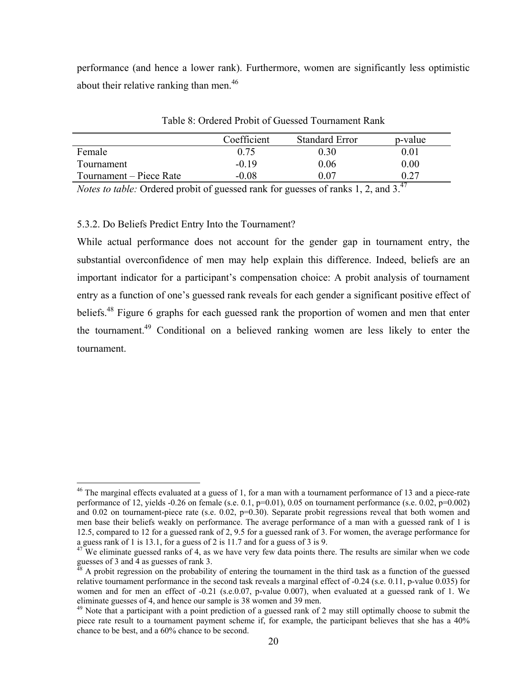performance (and hence a lower rank). Furthermore, women are significantly less optimistic about their relative ranking than men.<sup>46</sup>

|                         | Coefficient | <b>Standard Error</b> | p-value  |
|-------------------------|-------------|-----------------------|----------|
| Female                  | 0.75        | 0.30                  | 0.01     |
| Tournament              | $-0.19$     | 0.06                  | $0.00\,$ |
| Tournament – Piece Rate | $-0.08$     | ) 07                  |          |

Table 8: Ordered Probit of Guessed Tournament Rank

*Notes to table:* Ordered probit of guessed rank for guesses of ranks 1, 2, and 3.<sup>47</sup>

5.3.2. Do Beliefs Predict Entry Into the Tournament?

 $\overline{a}$ 

While actual performance does not account for the gender gap in tournament entry, the substantial overconfidence of men may help explain this difference. Indeed, beliefs are an important indicator for a participant's compensation choice: A probit analysis of tournament entry as a function of one's guessed rank reveals for each gender a significant positive effect of beliefs.<sup>48</sup> Figure 6 graphs for each guessed rank the proportion of women and men that enter the tournament.49 Conditional on a believed ranking women are less likely to enter the tournament.

 $46$  The marginal effects evaluated at a guess of 1, for a man with a tournament performance of 13 and a piece-rate performance of 12, yields -0.26 on female (s.e. 0.1, p=0.01), 0.05 on tournament performance (s.e. 0.02, p=0.002) and  $0.02$  on tournament-piece rate (s.e.  $0.02$ ,  $p=0.30$ ). Separate probit regressions reveal that both women and men base their beliefs weakly on performance. The average performance of a man with a guessed rank of 1 is 12.5, compared to 12 for a guessed rank of 2, 9.5 for a guessed rank of 3. For women, the average performance for a guess rank of 1 is 13.1, for a guess of 2 is 11.7 and for a guess of 3 is 9.

<sup>&</sup>lt;sup>47</sup> We eliminate guessed ranks of 4, as we have very few data points there. The results are similar when we code guesses of 3 and 4 as guesses of rank 3.

<sup>48</sup> A probit regression on the probability of entering the tournament in the third task as a function of the guessed relative tournament performance in the second task reveals a marginal effect of -0.24 (s.e. 0.11, p-value 0.035) for women and for men an effect of -0.21 (s.e.0.07, p-value 0.007), when evaluated at a guessed rank of 1. We eliminate guesses of 4, and hence our sample is 38 women and 39 men.<br><sup>49</sup> Note that a participant with a point prediction of a guessed rank of 2 may still optimally choose to submit the

piece rate result to a tournament payment scheme if, for example, the participant believes that she has a 40% chance to be best, and a 60% chance to be second.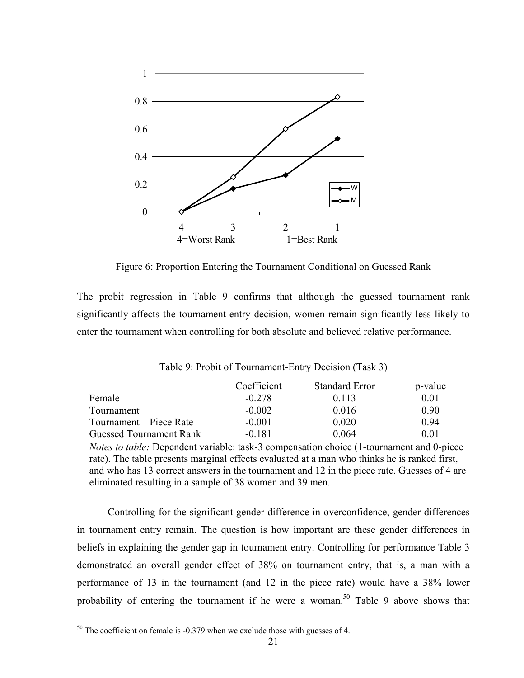

Figure 6: Proportion Entering the Tournament Conditional on Guessed Rank

The probit regression in Table 9 confirms that although the guessed tournament rank significantly affects the tournament-entry decision, women remain significantly less likely to enter the tournament when controlling for both absolute and believed relative performance.

|                         | Coefficient | <b>Standard Error</b> | p-value  |
|-------------------------|-------------|-----------------------|----------|
| Female                  | $-0.278$    | 0.113                 | 0.01     |
| Tournament              | $-0.002$    | 0.016                 | 0.90     |
| Tournament – Piece Rate | $-0.001$    | 0.020                 | 0.94     |
| Guessed Tournament Rank | $-0.181$    | 0.064                 | $0.01\,$ |

Table 9: Probit of Tournament-Entry Decision (Task 3)

*Notes to table:* Dependent variable: task-3 compensation choice (1-tournament and 0-piece rate). The table presents marginal effects evaluated at a man who thinks he is ranked first, and who has 13 correct answers in the tournament and 12 in the piece rate. Guesses of 4 are eliminated resulting in a sample of 38 women and 39 men.

Controlling for the significant gender difference in overconfidence, gender differences in tournament entry remain. The question is how important are these gender differences in beliefs in explaining the gender gap in tournament entry. Controlling for performance Table 3 demonstrated an overall gender effect of 38% on tournament entry, that is, a man with a performance of 13 in the tournament (and 12 in the piece rate) would have a 38% lower probability of entering the tournament if he were a woman.<sup>50</sup> Table 9 above shows that

 $50$  The coefficient on female is -0.379 when we exclude those with guesses of 4.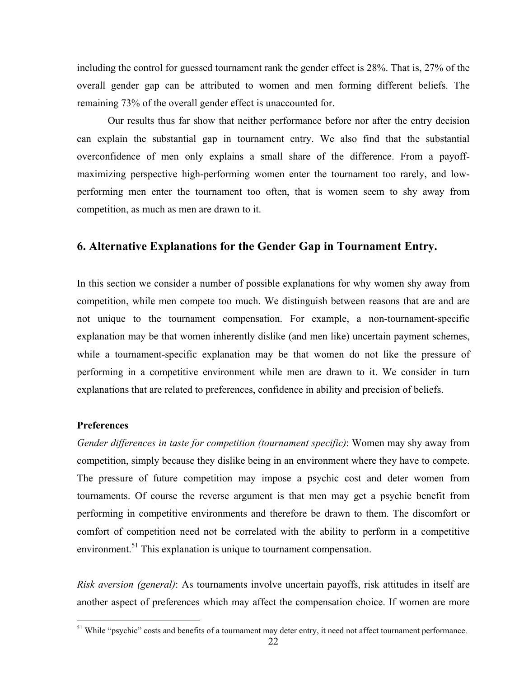including the control for guessed tournament rank the gender effect is 28%. That is, 27% of the overall gender gap can be attributed to women and men forming different beliefs. The remaining 73% of the overall gender effect is unaccounted for.

Our results thus far show that neither performance before nor after the entry decision can explain the substantial gap in tournament entry. We also find that the substantial overconfidence of men only explains a small share of the difference. From a payoffmaximizing perspective high-performing women enter the tournament too rarely, and lowperforming men enter the tournament too often, that is women seem to shy away from competition, as much as men are drawn to it.

# **6. Alternative Explanations for the Gender Gap in Tournament Entry.**

In this section we consider a number of possible explanations for why women shy away from competition, while men compete too much. We distinguish between reasons that are and are not unique to the tournament compensation. For example, a non-tournament-specific explanation may be that women inherently dislike (and men like) uncertain payment schemes, while a tournament-specific explanation may be that women do not like the pressure of performing in a competitive environment while men are drawn to it. We consider in turn explanations that are related to preferences, confidence in ability and precision of beliefs.

#### **Preferences**

 $\overline{a}$ 

*Gender differences in taste for competition (tournament specific)*: Women may shy away from competition, simply because they dislike being in an environment where they have to compete. The pressure of future competition may impose a psychic cost and deter women from tournaments. Of course the reverse argument is that men may get a psychic benefit from performing in competitive environments and therefore be drawn to them. The discomfort or comfort of competition need not be correlated with the ability to perform in a competitive environment.<sup>51</sup> This explanation is unique to tournament compensation.

*Risk aversion (general)*: As tournaments involve uncertain payoffs, risk attitudes in itself are another aspect of preferences which may affect the compensation choice. If women are more

<sup>&</sup>lt;sup>51</sup> While "psychic" costs and benefits of a tournament may deter entry, it need not affect tournament performance.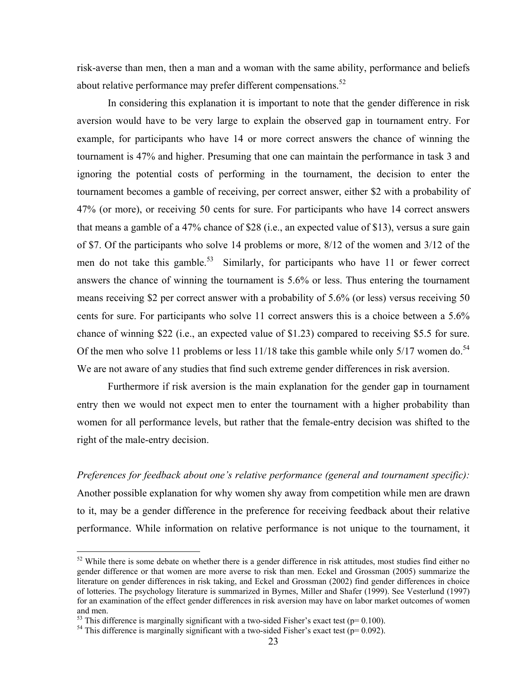risk-averse than men, then a man and a woman with the same ability, performance and beliefs about relative performance may prefer different compensations.<sup>52</sup>

In considering this explanation it is important to note that the gender difference in risk aversion would have to be very large to explain the observed gap in tournament entry. For example, for participants who have 14 or more correct answers the chance of winning the tournament is 47% and higher. Presuming that one can maintain the performance in task 3 and ignoring the potential costs of performing in the tournament, the decision to enter the tournament becomes a gamble of receiving, per correct answer, either \$2 with a probability of 47% (or more), or receiving 50 cents for sure. For participants who have 14 correct answers that means a gamble of a 47% chance of \$28 (i.e., an expected value of \$13), versus a sure gain of \$7. Of the participants who solve 14 problems or more, 8/12 of the women and 3/12 of the men do not take this gamble.<sup>53</sup> Similarly, for participants who have 11 or fewer correct answers the chance of winning the tournament is 5.6% or less. Thus entering the tournament means receiving \$2 per correct answer with a probability of 5.6% (or less) versus receiving 50 cents for sure. For participants who solve 11 correct answers this is a choice between a 5.6% chance of winning \$22 (i.e., an expected value of \$1.23) compared to receiving \$5.5 for sure. Of the men who solve 11 problems or less  $11/18$  take this gamble while only  $5/17$  women do.<sup>54</sup> We are not aware of any studies that find such extreme gender differences in risk aversion.

Furthermore if risk aversion is the main explanation for the gender gap in tournament entry then we would not expect men to enter the tournament with a higher probability than women for all performance levels, but rather that the female-entry decision was shifted to the right of the male-entry decision.

*Preferences for feedback about one's relative performance (general and tournament specific):* Another possible explanation for why women shy away from competition while men are drawn to it, may be a gender difference in the preference for receiving feedback about their relative performance. While information on relative performance is not unique to the tournament, it

1

 $52$  While there is some debate on whether there is a gender difference in risk attitudes, most studies find either no gender difference or that women are more averse to risk than men. Eckel and Grossman (2005) summarize the literature on gender differences in risk taking, and Eckel and Grossman (2002) find gender differences in choice of lotteries. The psychology literature is summarized in Byrnes, Miller and Shafer (1999). See Vesterlund (1997) for an examination of the effect gender differences in risk aversion may have on labor market outcomes of women and men.<br>
<sup>53</sup> This difference is marginally significant with a two-sided Fisher's exact test ( $p=0.100$ ).

 $54$  This difference is marginally significant with a two-sided Fisher's exact test (p= 0.092).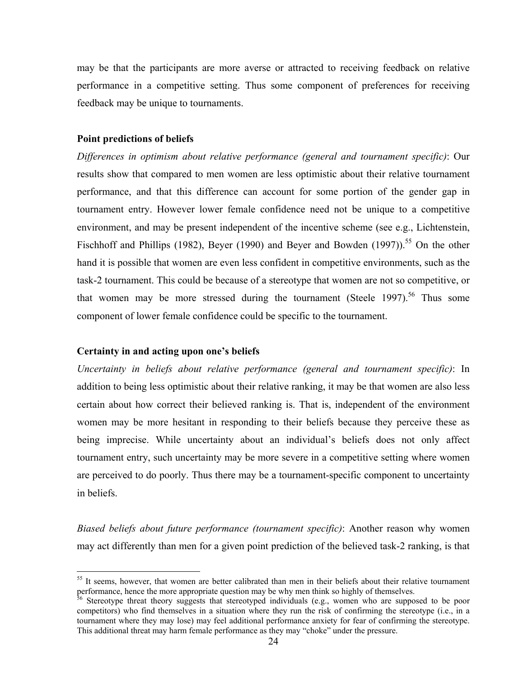may be that the participants are more averse or attracted to receiving feedback on relative performance in a competitive setting. Thus some component of preferences for receiving feedback may be unique to tournaments.

#### **Point predictions of beliefs**

*Differences in optimism about relative performance (general and tournament specific)*: Our results show that compared to men women are less optimistic about their relative tournament performance, and that this difference can account for some portion of the gender gap in tournament entry. However lower female confidence need not be unique to a competitive environment, and may be present independent of the incentive scheme (see e.g., Lichtenstein, Fischhoff and Phillips (1982), Beyer (1990) and Beyer and Bowden (1997)).<sup>55</sup> On the other hand it is possible that women are even less confident in competitive environments, such as the task-2 tournament. This could be because of a stereotype that women are not so competitive, or that women may be more stressed during the tournament (Steele 1997).<sup>56</sup> Thus some component of lower female confidence could be specific to the tournament.

#### **Certainty in and acting upon one's beliefs**

<u>.</u>

*Uncertainty in beliefs about relative performance (general and tournament specific)*: In addition to being less optimistic about their relative ranking, it may be that women are also less certain about how correct their believed ranking is. That is, independent of the environment women may be more hesitant in responding to their beliefs because they perceive these as being imprecise. While uncertainty about an individual's beliefs does not only affect tournament entry, such uncertainty may be more severe in a competitive setting where women are perceived to do poorly. Thus there may be a tournament-specific component to uncertainty in beliefs.

*Biased beliefs about future performance (tournament specific)*: Another reason why women may act differently than men for a given point prediction of the believed task-2 ranking, is that

 $55$  It seems, however, that women are better calibrated than men in their beliefs about their relative tournament performance, hence the more appropriate question may be why men think so highly of themselves.

<sup>&</sup>lt;sup>56</sup> Stereotype threat theory suggests that stereotyped individuals (e.g., women who are supposed to be poor competitors) who find themselves in a situation where they run the risk of confirming the stereotype (i.e., in a tournament where they may lose) may feel additional performance anxiety for fear of confirming the stereotype. This additional threat may harm female performance as they may "choke" under the pressure.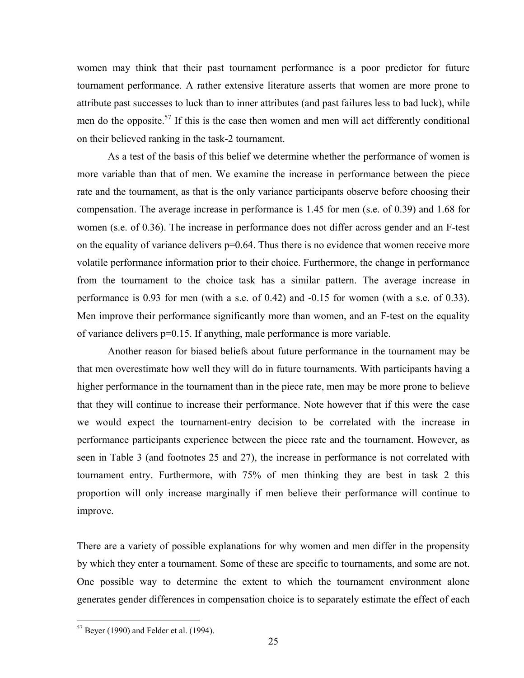women may think that their past tournament performance is a poor predictor for future tournament performance. A rather extensive literature asserts that women are more prone to attribute past successes to luck than to inner attributes (and past failures less to bad luck), while men do the opposite.<sup>57</sup> If this is the case then women and men will act differently conditional on their believed ranking in the task-2 tournament.

As a test of the basis of this belief we determine whether the performance of women is more variable than that of men. We examine the increase in performance between the piece rate and the tournament, as that is the only variance participants observe before choosing their compensation. The average increase in performance is 1.45 for men (s.e. of 0.39) and 1.68 for women (s.e. of 0.36). The increase in performance does not differ across gender and an F-test on the equality of variance delivers  $p=0.64$ . Thus there is no evidence that women receive more volatile performance information prior to their choice. Furthermore, the change in performance from the tournament to the choice task has a similar pattern. The average increase in performance is 0.93 for men (with a s.e. of 0.42) and -0.15 for women (with a s.e. of 0.33). Men improve their performance significantly more than women, and an F-test on the equality of variance delivers p=0.15. If anything, male performance is more variable.

 Another reason for biased beliefs about future performance in the tournament may be that men overestimate how well they will do in future tournaments. With participants having a higher performance in the tournament than in the piece rate, men may be more prone to believe that they will continue to increase their performance. Note however that if this were the case we would expect the tournament-entry decision to be correlated with the increase in performance participants experience between the piece rate and the tournament. However, as seen in Table 3 (and footnotes 25 and 27), the increase in performance is not correlated with tournament entry. Furthermore, with 75% of men thinking they are best in task 2 this proportion will only increase marginally if men believe their performance will continue to improve.

There are a variety of possible explanations for why women and men differ in the propensity by which they enter a tournament. Some of these are specific to tournaments, and some are not. One possible way to determine the extent to which the tournament environment alone generates gender differences in compensation choice is to separately estimate the effect of each

 $57$  Beyer (1990) and Felder et al. (1994).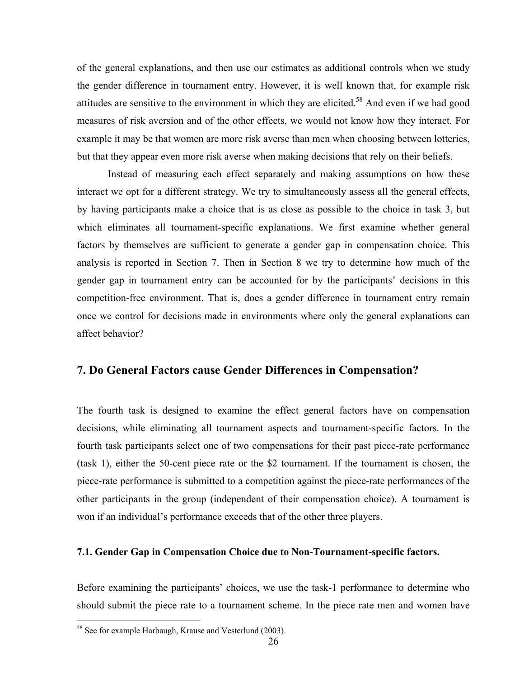of the general explanations, and then use our estimates as additional controls when we study the gender difference in tournament entry. However, it is well known that, for example risk attitudes are sensitive to the environment in which they are elicited.<sup>58</sup> And even if we had good measures of risk aversion and of the other effects, we would not know how they interact. For example it may be that women are more risk averse than men when choosing between lotteries, but that they appear even more risk averse when making decisions that rely on their beliefs.

Instead of measuring each effect separately and making assumptions on how these interact we opt for a different strategy. We try to simultaneously assess all the general effects, by having participants make a choice that is as close as possible to the choice in task 3, but which eliminates all tournament-specific explanations. We first examine whether general factors by themselves are sufficient to generate a gender gap in compensation choice. This analysis is reported in Section 7. Then in Section 8 we try to determine how much of the gender gap in tournament entry can be accounted for by the participants' decisions in this competition-free environment. That is, does a gender difference in tournament entry remain once we control for decisions made in environments where only the general explanations can affect behavior?

# **7. Do General Factors cause Gender Differences in Compensation?**

The fourth task is designed to examine the effect general factors have on compensation decisions, while eliminating all tournament aspects and tournament-specific factors. In the fourth task participants select one of two compensations for their past piece-rate performance (task 1), either the 50-cent piece rate or the \$2 tournament. If the tournament is chosen, the piece-rate performance is submitted to a competition against the piece-rate performances of the other participants in the group (independent of their compensation choice). A tournament is won if an individual's performance exceeds that of the other three players.

#### **7.1. Gender Gap in Compensation Choice due to Non-Tournament-specific factors.**

Before examining the participants' choices, we use the task-1 performance to determine who should submit the piece rate to a tournament scheme. In the piece rate men and women have

<sup>&</sup>lt;sup>58</sup> See for example Harbaugh, Krause and Vesterlund (2003).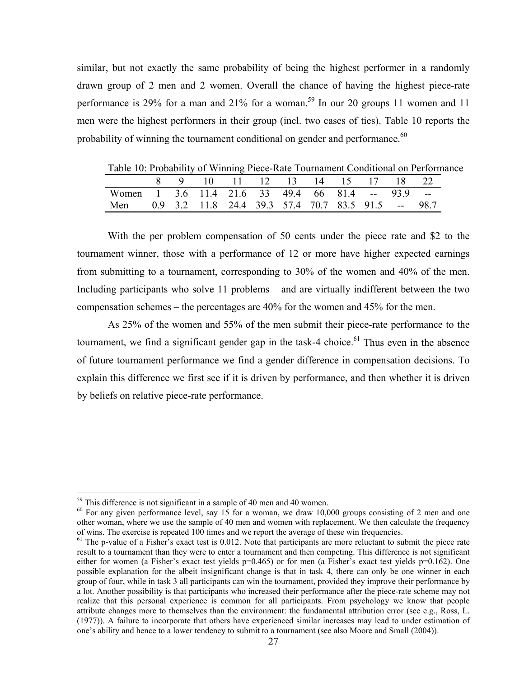similar, but not exactly the same probability of being the highest performer in a randomly drawn group of 2 men and 2 women. Overall the chance of having the highest piece-rate performance is 29% for a man and 21% for a woman.<sup>59</sup> In our 20 groups 11 women and 11 men were the highest performers in their group (incl. two cases of ties). Table 10 reports the probability of winning the tournament conditional on gender and performance.<sup>60</sup>

| Table TV. I TODability Of Willing I ICC-Kate Tournament Conditional Off Chorina |  |                                |  |  |  |  |
|---------------------------------------------------------------------------------|--|--------------------------------|--|--|--|--|
|                                                                                 |  | 8 9 10 11 12 13 14 15 17 18 22 |  |  |  |  |
| Women 1 3.6 11.4 21.6 33 49.4 66 81.4 -- 93.9 --                                |  |                                |  |  |  |  |
| Men 0.9 3.2 11.8 24.4 39.3 57.4 70.7 83.5 91.5 -- 98.7                          |  |                                |  |  |  |  |

Table 10: Probability of Winning Piece-Rate Tournament Conditional on Performance

With the per problem compensation of 50 cents under the piece rate and \$2 to the tournament winner, those with a performance of 12 or more have higher expected earnings from submitting to a tournament, corresponding to 30% of the women and 40% of the men. Including participants who solve 11 problems – and are virtually indifferent between the two compensation schemes – the percentages are 40% for the women and 45% for the men.

As 25% of the women and 55% of the men submit their piece-rate performance to the tournament, we find a significant gender gap in the task-4 choice. $61$  Thus even in the absence of future tournament performance we find a gender difference in compensation decisions. To explain this difference we first see if it is driven by performance, and then whether it is driven by beliefs on relative piece-rate performance.

1

<sup>&</sup>lt;sup>59</sup> This difference is not significant in a sample of 40 men and 40 women.<br><sup>60</sup> For any given performance level, say 15 for a woman, we draw 10,000 groups consisting of 2 men and one other woman, where we use the sample of 40 men and women with replacement. We then calculate the frequency of wins. The exercise is repeated 100 times and we report the average of these win frequencies.

 $<sup>61</sup>$  The p-value of a Fisher's exact test is 0.012. Note that participants are more reluctant to submit the piece rate</sup> result to a tournament than they were to enter a tournament and then competing. This difference is not significant either for women (a Fisher's exact test yields  $p=0.465$ ) or for men (a Fisher's exact test yields  $p=0.162$ ). One possible explanation for the albeit insignificant change is that in task 4, there can only be one winner in each group of four, while in task 3 all participants can win the tournament, provided they improve their performance by a lot. Another possibility is that participants who increased their performance after the piece-rate scheme may not realize that this personal experience is common for all participants. From psychology we know that people attribute changes more to themselves than the environment: the fundamental attribution error (see e.g., Ross, L. (1977)). A failure to incorporate that others have experienced similar increases may lead to under estimation of one's ability and hence to a lower tendency to submit to a tournament (see also Moore and Small (2004)).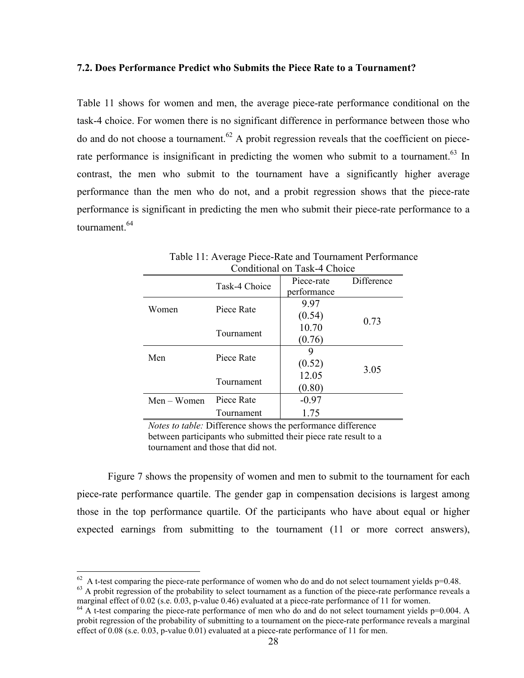#### **7.2. Does Performance Predict who Submits the Piece Rate to a Tournament?**

Table 11 shows for women and men, the average piece-rate performance conditional on the task-4 choice. For women there is no significant difference in performance between those who do and do not choose a tournament.<sup>62</sup> A probit regression reveals that the coefficient on piecerate performance is insignificant in predicting the women who submit to a tournament.<sup>63</sup> In contrast, the men who submit to the tournament have a significantly higher average performance than the men who do not, and a probit regression shows that the piece-rate performance is significant in predicting the men who submit their piece-rate performance to a tournament.<sup>64</sup>

|               |               | Conditional on Task-4 Choice |            |
|---------------|---------------|------------------------------|------------|
|               | Task-4 Choice | Piece-rate                   | Difference |
|               |               | performance                  |            |
|               |               | 9.97                         |            |
| Women         | Piece Rate    | (0.54)                       | 0.73       |
|               |               | 10.70                        |            |
|               | Tournament    | (0.76)                       |            |
|               |               | 9                            |            |
| Men           | Piece Rate    | (0.52)                       |            |
|               |               | 12.05                        | 3.05       |
|               | Tournament    | (0.80)                       |            |
| $Men - Women$ | Piece Rate    | $-0.97$                      |            |
|               | Tournament    | 1.75                         |            |

Table 11: Average Piece-Rate and Tournament Performance Conditional on Task-4 Choice

*Notes to table:* Difference shows the performance difference between participants who submitted their piece rate result to a tournament and those that did not.

Figure 7 shows the propensity of women and men to submit to the tournament for each piece-rate performance quartile. The gender gap in compensation decisions is largest among those in the top performance quartile. Of the participants who have about equal or higher expected earnings from submitting to the tournament (11 or more correct answers),

 $62$  A t-test comparing the piece-rate performance of women who do and do not select tournament yields p=0.48.

 $\frac{63}{11}$  A probit regression of the probability to select tournament as a function of the piece-rate performance reveals a marginal effect of 0.02 (s.e. 0.03, p-value 0.46) evaluated at a piece-rate performance of 11 f

 $^{64}$  A t-test comparing the piece-rate performance of men who do and do not select tournament yields p=0.004. A probit regression of the probability of submitting to a tournament on the piece-rate performance reveals a marginal effect of 0.08 (s.e. 0.03, p-value 0.01) evaluated at a piece-rate performance of 11 for men.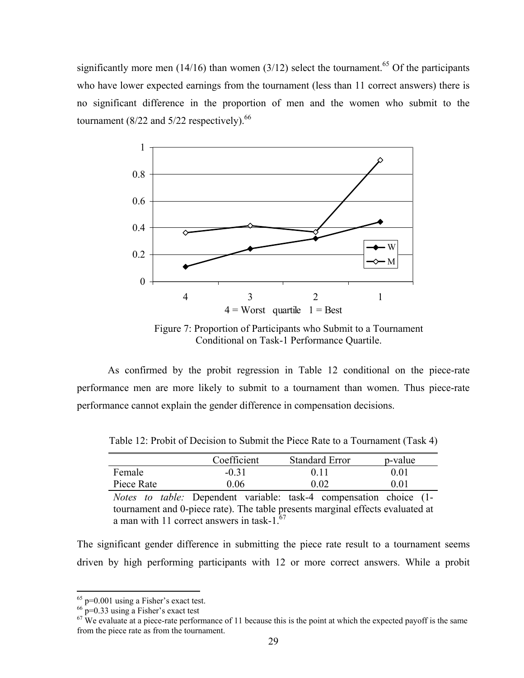significantly more men (14/16) than women (3/12) select the tournament.<sup>65</sup> Of the participants who have lower expected earnings from the tournament (less than 11 correct answers) there is no significant difference in the proportion of men and the women who submit to the tournament  $(8/22$  and  $5/22$  respectively).<sup>66</sup>



Figure 7: Proportion of Participants who Submit to a Tournament Conditional on Task-1 Performance Quartile.

As confirmed by the probit regression in Table 12 conditional on the piece-rate performance men are more likely to submit to a tournament than women. Thus piece-rate performance cannot explain the gender difference in compensation decisions.

|            | Coefficient                                                               | <b>Standard Error</b> | p-value |
|------------|---------------------------------------------------------------------------|-----------------------|---------|
| Female     | $-0.31$                                                                   | 0.11                  | 0.01    |
| Piece Rate | 0.06                                                                      | 0.02                  | 0.01    |
|            | <i>Notes to table:</i> Dependent variable: task-4 compensation choice (1- |                       |         |

Table 12: Probit of Decision to Submit the Piece Rate to a Tournament (Task 4)

tournament and 0-piece rate). The table presents marginal effects evaluated at a man with 11 correct answers in task-1.<sup>67</sup>

The significant gender difference in submitting the piece rate result to a tournament seems driven by high performing participants with 12 or more correct answers. While a probit

 $65$  p=0.001 using a Fisher's exact test.

 $^{66}$  p=0.33 using a Fisher's exact test

 $67$  We evaluate at a piece-rate performance of 11 because this is the point at which the expected payoff is the same from the piece rate as from the tournament.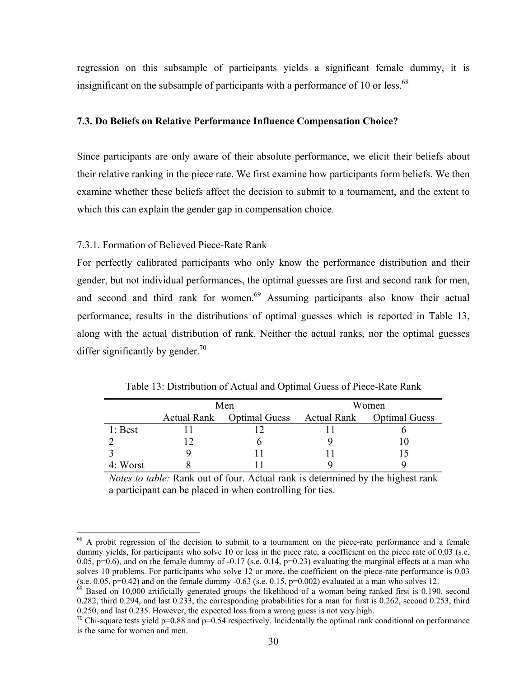regression on this subsample of participants yields a significant female dummy, it is insignificant on the subsample of participants with a performance of 10 or less.<sup>68</sup>

#### **7.3. Do Beliefs on Relative Performance Influence Compensation Choice?**

Since participants are only aware of their absolute performance, we elicit their beliefs about their relative ranking in the piece rate. We first examine how participants form beliefs. We then examine whether these beliefs affect the decision to submit to a tournament, and the extent to which this can explain the gender gap in compensation choice.

### 7.3.1. Formation of Believed Piece-Rate Rank

 $\overline{a}$ 

For perfectly calibrated participants who only know the performance distribution and their gender, but not individual performances, the optimal guesses are first and second rank for men, and second and third rank for women.<sup>69</sup> Assuming participants also know their actual performance, results in the distributions of optimal guesses which is reported in Table 13, along with the actual distribution of rank. Neither the actual ranks, nor the optimal guesses differ significantly by gender.<sup>70</sup>

|           | Men |                                                     | Women |  |
|-----------|-----|-----------------------------------------------------|-------|--|
|           |     | Actual Rank Optimal Guess Actual Rank Optimal Guess |       |  |
| $1:$ Best |     |                                                     |       |  |
|           |     |                                                     |       |  |
|           |     |                                                     |       |  |
| 4: Worst  |     |                                                     |       |  |

Table 13: Distribution of Actual and Optimal Guess of Piece-Rate Rank

*Notes to table:* Rank out of four. Actual rank is determined by the highest rank a participant can be placed in when controlling for ties.

<sup>&</sup>lt;sup>68</sup> A probit regression of the decision to submit to a tournament on the piece-rate performance and a female dummy yields, for participants who solve 10 or less in the piece rate, a coefficient on the piece rate of 0.03 (s.e. 0.05,  $p=0.6$ ), and on the female dummy of -0.17 (s.e. 0.14,  $p=0.23$ ) evaluating the marginal effects at a man who solves 10 problems. For participants who solve 12 or more, the coefficient on the piece-rate performance is 0.03  $(s.e. 0.05, p=0.42)$  and on the female dummy  $-0.63$  (s.e. 0.15,  $p=0.002$ ) evaluated at a man who solves 12.

 $69$  Based on 10,000 artificially generated groups the likelihood of a woman being ranked first is 0.190, second 0.282, third 0.294, and last 0.233, the corresponding probabilities for a man for first is 0.262, second 0.253, third 0.250, and last 0.235. However, the expected loss from a wrong guess is not very high.

<sup>&</sup>lt;sup>70</sup> Chi-square tests yield p=0.88 and p=0.54 respectively. Incidentally the optimal rank conditional on performance is the same for women and men.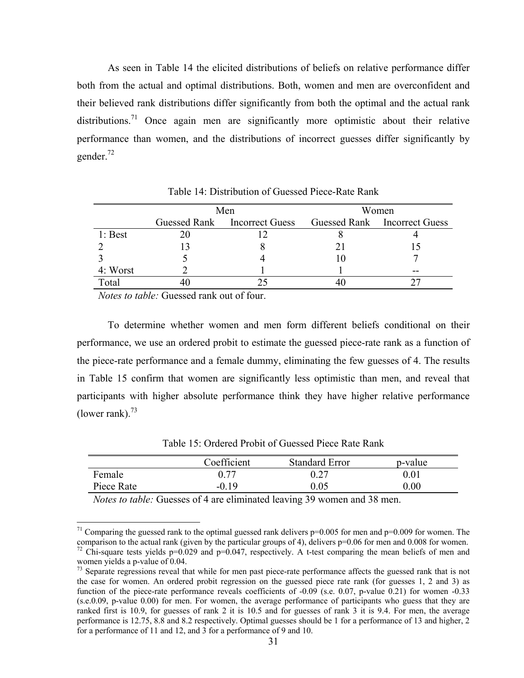As seen in Table 14 the elicited distributions of beliefs on relative performance differ both from the actual and optimal distributions. Both, women and men are overconfident and their believed rank distributions differ significantly from both the optimal and the actual rank distributions.<sup>71</sup> Once again men are significantly more optimistic about their relative performance than women, and the distributions of incorrect guesses differ significantly by gender.<sup>72</sup>

|           | Men |                                                           | Women |    |
|-----------|-----|-----------------------------------------------------------|-------|----|
|           |     | Guessed Rank Incorrect Guess Guessed Rank Incorrect Guess |       |    |
| $1:$ Best |     |                                                           |       |    |
|           |     |                                                           |       |    |
|           |     |                                                           |       |    |
| 4: Worst  |     |                                                           |       | -- |
| Total     |     |                                                           |       |    |

Table 14: Distribution of Guessed Piece-Rate Rank

*Notes to table:* Guessed rank out of four.

 $\overline{a}$ 

To determine whether women and men form different beliefs conditional on their performance, we use an ordered probit to estimate the guessed piece-rate rank as a function of the piece-rate performance and a female dummy, eliminating the few guesses of 4. The results in Table 15 confirm that women are significantly less optimistic than men, and reveal that participants with higher absolute performance think they have higher relative performance (lower rank). $^{73}$ 

Table 15: Ordered Probit of Guessed Piece Rate Rank

|            | Coefficient | <b>Standard Error</b> | p-value  |
|------------|-------------|-----------------------|----------|
| Female     | 0.77        | 0.27                  | $0.01\,$ |
| Piece Rate | $-0.19$     | 9.05                  | $0.00\,$ |

*Notes to table:* Guesses of 4 are eliminated leaving 39 women and 38 men.

<sup>&</sup>lt;sup>71</sup> Comparing the guessed rank to the optimal guessed rank delivers  $p=0.005$  for men and  $p=0.009$  for women. The comparison to the actual rank (given by the particular groups of 4), delivers p=0.06 for men and 0.008 for women. <sup>72</sup> Chi-square tests yields p=0.029 and p=0.047, respectively. A t-test comparing the mean beliefs of men and women yields a p-value of 0.04.

 $^{73}$  Separate regressions reveal that while for men past piece-rate performance affects the guessed rank that is not the case for women. An ordered probit regression on the guessed piece rate rank (for guesses 1, 2 and 3) as function of the piece-rate performance reveals coefficients of -0.09 (s.e. 0.07, p-value 0.21) for women -0.33 (s.e.0.09, p-value 0.00) for men. For women, the average performance of participants who guess that they are ranked first is 10.9, for guesses of rank 2 it is 10.5 and for guesses of rank 3 it is 9.4. For men, the average performance is 12.75, 8.8 and 8.2 respectively. Optimal guesses should be 1 for a performance of 13 and higher, 2 for a performance of 11 and 12, and 3 for a performance of 9 and 10.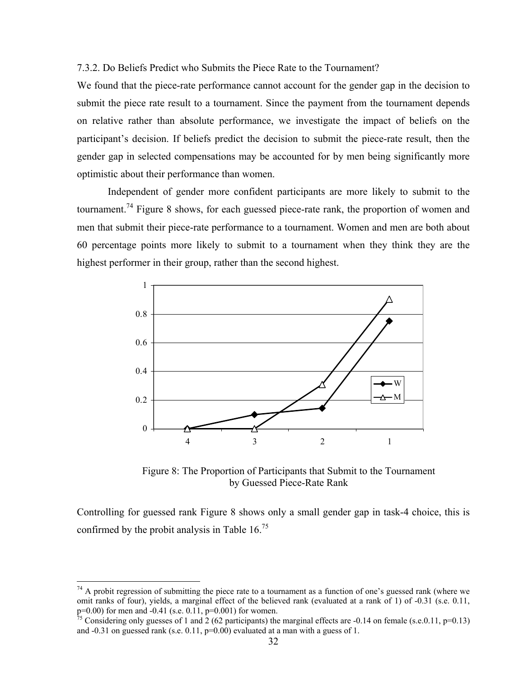7.3.2. Do Beliefs Predict who Submits the Piece Rate to the Tournament?

We found that the piece-rate performance cannot account for the gender gap in the decision to submit the piece rate result to a tournament. Since the payment from the tournament depends on relative rather than absolute performance, we investigate the impact of beliefs on the participant's decision. If beliefs predict the decision to submit the piece-rate result, then the gender gap in selected compensations may be accounted for by men being significantly more optimistic about their performance than women.

Independent of gender more confident participants are more likely to submit to the tournament.<sup>74</sup> Figure 8 shows, for each guessed piece-rate rank, the proportion of women and men that submit their piece-rate performance to a tournament. Women and men are both about 60 percentage points more likely to submit to a tournament when they think they are the highest performer in their group, rather than the second highest.



Figure 8: The Proportion of Participants that Submit to the Tournament by Guessed Piece-Rate Rank

Controlling for guessed rank Figure 8 shows only a small gender gap in task-4 choice, this is confirmed by the probit analysis in Table 16.75

1

 $74$  A probit regression of submitting the piece rate to a tournament as a function of one's guessed rank (where we omit ranks of four), yields, a marginal effect of the believed rank (evaluated at a rank of 1) of -0.31 (s.e. 0.11, p=0.00) for men and -0.41 (s.e. 0.11, p=0.001) for women.

<sup>&</sup>lt;sup>75</sup> Considering only guesses of 1 and 2 (62 participants) the marginal effects are -0.14 on female (s.e.0.11, p=0.13) and  $-0.31$  on guessed rank (s.e.  $0.11$ ,  $p=0.00$ ) evaluated at a man with a guess of 1.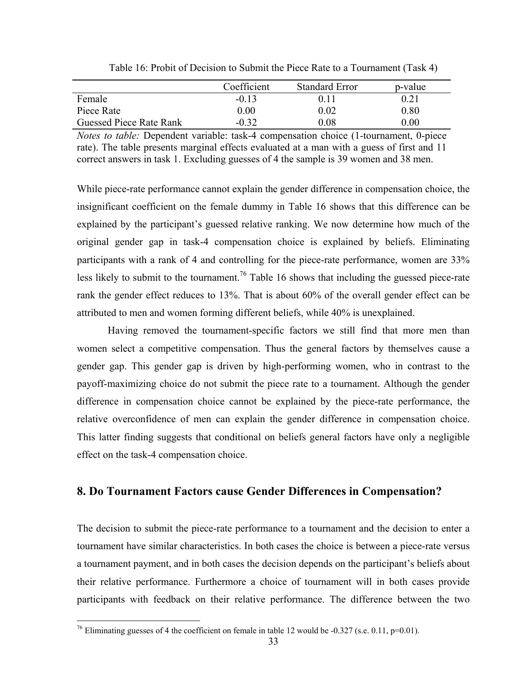|                         | Coefficient | <b>Standard Error</b> | p-value  |
|-------------------------|-------------|-----------------------|----------|
| Female                  | $-0.13$     | 0 1 1                 | 0.21     |
| Piece Rate              | $0.00\,$    | 0.02                  | 0.80     |
| Guessed Piece Rate Rank | $-0.32$     | $0.08\,$              | $0.00\,$ |

Table 16: Probit of Decision to Submit the Piece Rate to a Tournament (Task 4)

*Notes to table:* Dependent variable: task-4 compensation choice (1-tournament, 0-piece rate). The table presents marginal effects evaluated at a man with a guess of first and 11 correct answers in task 1. Excluding guesses of 4 the sample is 39 women and 38 men.

While piece-rate performance cannot explain the gender difference in compensation choice, the insignificant coefficient on the female dummy in Table 16 shows that this difference can be explained by the participant's guessed relative ranking. We now determine how much of the original gender gap in task-4 compensation choice is explained by beliefs. Eliminating participants with a rank of 4 and controlling for the piece-rate performance, women are 33% less likely to submit to the tournament.<sup>76</sup> Table 16 shows that including the guessed piece-rate rank the gender effect reduces to 13%. That is about 60% of the overall gender effect can be attributed to men and women forming different beliefs, while 40% is unexplained.

Having removed the tournament-specific factors we still find that more men than women select a competitive compensation. Thus the general factors by themselves cause a gender gap. This gender gap is driven by high-performing women, who in contrast to the payoff-maximizing choice do not submit the piece rate to a tournament. Although the gender difference in compensation choice cannot be explained by the piece-rate performance, the relative overconfidence of men can explain the gender difference in compensation choice. This latter finding suggests that conditional on beliefs general factors have only a negligible effect on the task-4 compensation choice.

# **8. Do Tournament Factors cause Gender Differences in Compensation?**

The decision to submit the piece-rate performance to a tournament and the decision to enter a tournament have similar characteristics. In both cases the choice is between a piece-rate versus a tournament payment, and in both cases the decision depends on the participant's beliefs about their relative performance. Furthermore a choice of tournament will in both cases provide participants with feedback on their relative performance. The difference between the two

 $\overline{a}$ <sup>76</sup> Eliminating guesses of 4 the coefficient on female in table 12 would be -0.327 (s.e. 0.11, p=0.01).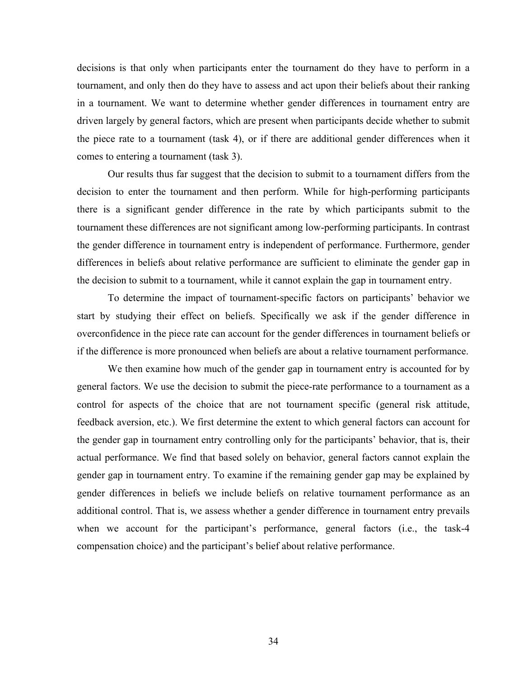decisions is that only when participants enter the tournament do they have to perform in a tournament, and only then do they have to assess and act upon their beliefs about their ranking in a tournament. We want to determine whether gender differences in tournament entry are driven largely by general factors, which are present when participants decide whether to submit the piece rate to a tournament (task 4), or if there are additional gender differences when it comes to entering a tournament (task 3).

Our results thus far suggest that the decision to submit to a tournament differs from the decision to enter the tournament and then perform. While for high-performing participants there is a significant gender difference in the rate by which participants submit to the tournament these differences are not significant among low-performing participants. In contrast the gender difference in tournament entry is independent of performance. Furthermore, gender differences in beliefs about relative performance are sufficient to eliminate the gender gap in the decision to submit to a tournament, while it cannot explain the gap in tournament entry.

To determine the impact of tournament-specific factors on participants' behavior we start by studying their effect on beliefs. Specifically we ask if the gender difference in overconfidence in the piece rate can account for the gender differences in tournament beliefs or if the difference is more pronounced when beliefs are about a relative tournament performance.

We then examine how much of the gender gap in tournament entry is accounted for by general factors. We use the decision to submit the piece-rate performance to a tournament as a control for aspects of the choice that are not tournament specific (general risk attitude, feedback aversion, etc.). We first determine the extent to which general factors can account for the gender gap in tournament entry controlling only for the participants' behavior, that is, their actual performance. We find that based solely on behavior, general factors cannot explain the gender gap in tournament entry. To examine if the remaining gender gap may be explained by gender differences in beliefs we include beliefs on relative tournament performance as an additional control. That is, we assess whether a gender difference in tournament entry prevails when we account for the participant's performance, general factors (i.e., the task-4 compensation choice) and the participant's belief about relative performance.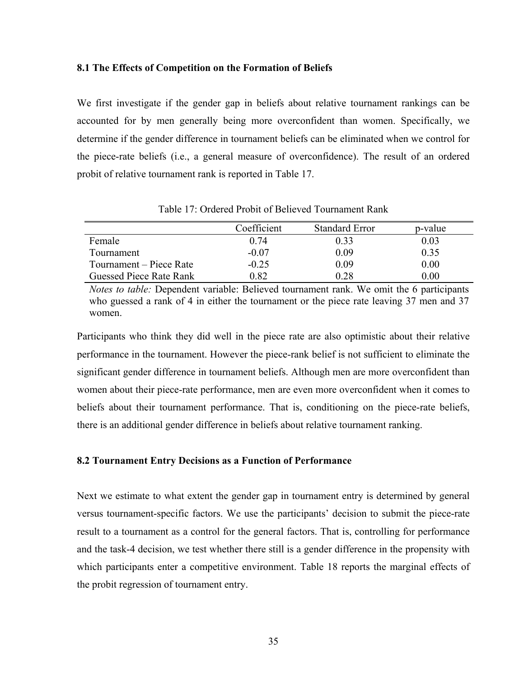#### **8.1 The Effects of Competition on the Formation of Beliefs**

We first investigate if the gender gap in beliefs about relative tournament rankings can be accounted for by men generally being more overconfident than women. Specifically, we determine if the gender difference in tournament beliefs can be eliminated when we control for the piece-rate beliefs (i.e., a general measure of overconfidence). The result of an ordered probit of relative tournament rank is reported in Table 17.

|                         | Coefficient | <b>Standard Error</b> | p-value |
|-------------------------|-------------|-----------------------|---------|
| Female                  | 0.74        | 0.33                  | 0.03    |
| Tournament              | $-0.07$     | 0.09                  | 0.35    |
| Tournament – Piece Rate | $-0.25$     | 0.09                  | 0.00    |
| Guessed Piece Rate Rank | 0.82        | 0.28                  | 0.00    |

Table 17: Ordered Probit of Believed Tournament Rank

*Notes to table:* Dependent variable: Believed tournament rank. We omit the 6 participants who guessed a rank of 4 in either the tournament or the piece rate leaving 37 men and 37 women.

Participants who think they did well in the piece rate are also optimistic about their relative performance in the tournament. However the piece-rank belief is not sufficient to eliminate the significant gender difference in tournament beliefs. Although men are more overconfident than women about their piece-rate performance, men are even more overconfident when it comes to beliefs about their tournament performance. That is, conditioning on the piece-rate beliefs, there is an additional gender difference in beliefs about relative tournament ranking.

#### **8.2 Tournament Entry Decisions as a Function of Performance**

Next we estimate to what extent the gender gap in tournament entry is determined by general versus tournament-specific factors. We use the participants' decision to submit the piece-rate result to a tournament as a control for the general factors. That is, controlling for performance and the task-4 decision, we test whether there still is a gender difference in the propensity with which participants enter a competitive environment. Table 18 reports the marginal effects of the probit regression of tournament entry.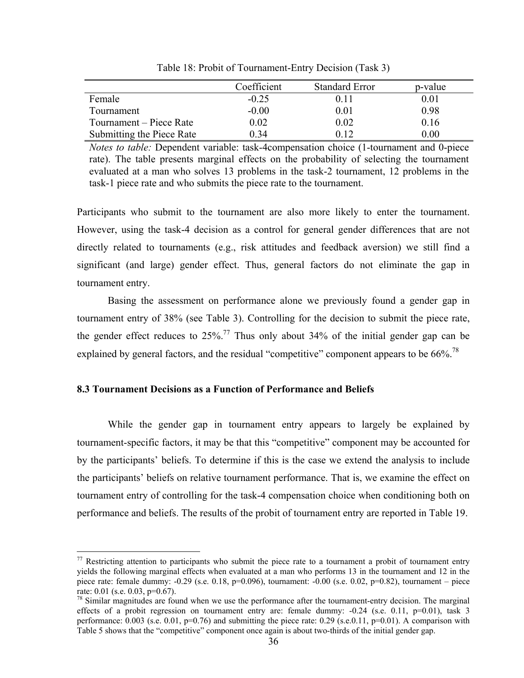|                           | Coefficient | <b>Standard Error</b> | p-value |
|---------------------------|-------------|-----------------------|---------|
| Female                    | $-0.25$     | 0.11                  | 0.01    |
| Tournament                | $-0.00$     | $\rm 0.01$            | 0.98    |
| Tournament – Piece Rate   | 0.02        | 0.02                  | 0.16    |
| Submitting the Piece Rate | 0 34        | Ი 12                  | 0.00    |

Table 18: Probit of Tournament-Entry Decision (Task 3)

*Notes to table:* Dependent variable: task-4compensation choice (1-tournament and 0-piece rate). The table presents marginal effects on the probability of selecting the tournament evaluated at a man who solves 13 problems in the task-2 tournament, 12 problems in the task-1 piece rate and who submits the piece rate to the tournament.

Participants who submit to the tournament are also more likely to enter the tournament. However, using the task-4 decision as a control for general gender differences that are not directly related to tournaments (e.g., risk attitudes and feedback aversion) we still find a significant (and large) gender effect. Thus, general factors do not eliminate the gap in tournament entry.

Basing the assessment on performance alone we previously found a gender gap in tournament entry of 38% (see Table 3). Controlling for the decision to submit the piece rate, the gender effect reduces to  $25\%$ .<sup>77</sup> Thus only about 34% of the initial gender gap can be explained by general factors, and the residual "competitive" component appears to be  $66\%$ <sup>78</sup>

#### **8.3 Tournament Decisions as a Function of Performance and Beliefs**

 $\overline{a}$ 

While the gender gap in tournament entry appears to largely be explained by tournament-specific factors, it may be that this "competitive" component may be accounted for by the participants' beliefs. To determine if this is the case we extend the analysis to include the participants' beliefs on relative tournament performance. That is, we examine the effect on tournament entry of controlling for the task-4 compensation choice when conditioning both on performance and beliefs. The results of the probit of tournament entry are reported in Table 19.

 $77$  Restricting attention to participants who submit the piece rate to a tournament a probit of tournament entry yields the following marginal effects when evaluated at a man who performs 13 in the tournament and 12 in the piece rate: female dummy:  $-0.29$  (s.e. 0.18, p=0.096), tournament:  $-0.00$  (s.e. 0.02, p=0.82), tournament – piece rate: 0.01 (s.e. 0.03, p=0.67).

<sup>&</sup>lt;sup>78</sup> Similar magnitudes are found when we use the performance after the tournament-entry decision. The marginal effects of a probit regression on tournament entry are: female dummy:  $-0.24$  (s.e. 0.11, p=0.01), task 3 performance:  $0.003$  (s.e.  $0.01$ ,  $p=0.76$ ) and submitting the piece rate:  $0.29$  (s.e.  $0.11$ ,  $p=0.01$ ). A comparison with Table 5 shows that the "competitive" component once again is about two-thirds of the initial gender gap.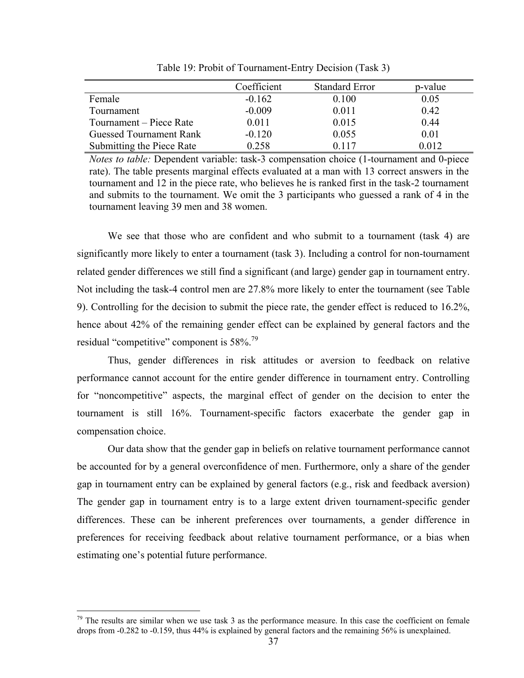|                                | Coefficient | <b>Standard Error</b> | p-value |
|--------------------------------|-------------|-----------------------|---------|
| Female                         | $-0.162$    | 0.100                 | 0.05    |
| Tournament                     | $-0.009$    | 0.011                 | 0.42    |
| Tournament – Piece Rate        | 0.011       | 0.015                 | 0.44    |
| <b>Guessed Tournament Rank</b> | $-0.120$    | 0.055                 | 0.01    |
| Submitting the Piece Rate      | 0.258       | 0.117                 | 0.012   |

Table 19: Probit of Tournament-Entry Decision (Task 3)

*Notes to table:* Dependent variable: task-3 compensation choice (1-tournament and 0-piece rate). The table presents marginal effects evaluated at a man with 13 correct answers in the tournament and 12 in the piece rate, who believes he is ranked first in the task-2 tournament and submits to the tournament. We omit the 3 participants who guessed a rank of 4 in the tournament leaving 39 men and 38 women.

We see that those who are confident and who submit to a tournament (task 4) are significantly more likely to enter a tournament (task 3). Including a control for non-tournament related gender differences we still find a significant (and large) gender gap in tournament entry. Not including the task-4 control men are 27.8% more likely to enter the tournament (see Table 9). Controlling for the decision to submit the piece rate, the gender effect is reduced to 16.2%, hence about 42% of the remaining gender effect can be explained by general factors and the residual "competitive" component is 58%.<sup>79</sup>

Thus, gender differences in risk attitudes or aversion to feedback on relative performance cannot account for the entire gender difference in tournament entry. Controlling for "noncompetitive" aspects, the marginal effect of gender on the decision to enter the tournament is still 16%. Tournament-specific factors exacerbate the gender gap in compensation choice.

Our data show that the gender gap in beliefs on relative tournament performance cannot be accounted for by a general overconfidence of men. Furthermore, only a share of the gender gap in tournament entry can be explained by general factors (e.g., risk and feedback aversion) The gender gap in tournament entry is to a large extent driven tournament-specific gender differences. These can be inherent preferences over tournaments, a gender difference in preferences for receiving feedback about relative tournament performance, or a bias when estimating one's potential future performance.

 $79$  The results are similar when we use task 3 as the performance measure. In this case the coefficient on female drops from -0.282 to -0.159, thus 44% is explained by general factors and the remaining 56% is unexplained.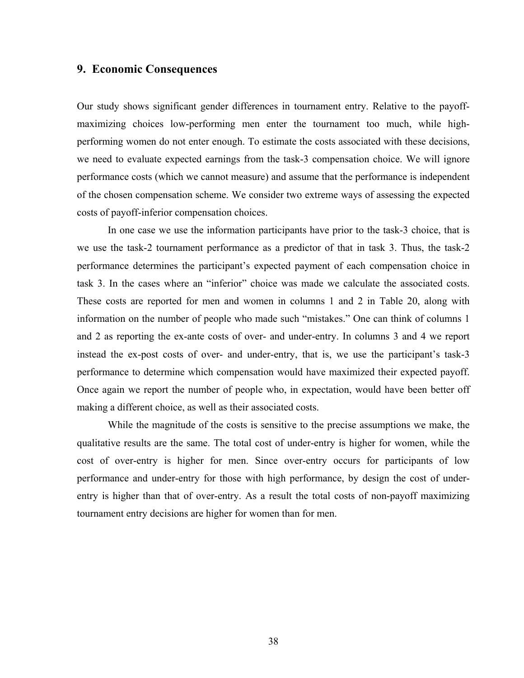### **9. Economic Consequences**

Our study shows significant gender differences in tournament entry. Relative to the payoffmaximizing choices low-performing men enter the tournament too much, while highperforming women do not enter enough. To estimate the costs associated with these decisions, we need to evaluate expected earnings from the task-3 compensation choice. We will ignore performance costs (which we cannot measure) and assume that the performance is independent of the chosen compensation scheme. We consider two extreme ways of assessing the expected costs of payoff-inferior compensation choices.

In one case we use the information participants have prior to the task-3 choice, that is we use the task-2 tournament performance as a predictor of that in task 3. Thus, the task-2 performance determines the participant's expected payment of each compensation choice in task 3. In the cases where an "inferior" choice was made we calculate the associated costs. These costs are reported for men and women in columns 1 and 2 in Table 20, along with information on the number of people who made such "mistakes." One can think of columns 1 and 2 as reporting the ex-ante costs of over- and under-entry. In columns 3 and 4 we report instead the ex-post costs of over- and under-entry, that is, we use the participant's task-3 performance to determine which compensation would have maximized their expected payoff. Once again we report the number of people who, in expectation, would have been better off making a different choice, as well as their associated costs.

 While the magnitude of the costs is sensitive to the precise assumptions we make, the qualitative results are the same. The total cost of under-entry is higher for women, while the cost of over-entry is higher for men. Since over-entry occurs for participants of low performance and under-entry for those with high performance, by design the cost of underentry is higher than that of over-entry. As a result the total costs of non-payoff maximizing tournament entry decisions are higher for women than for men.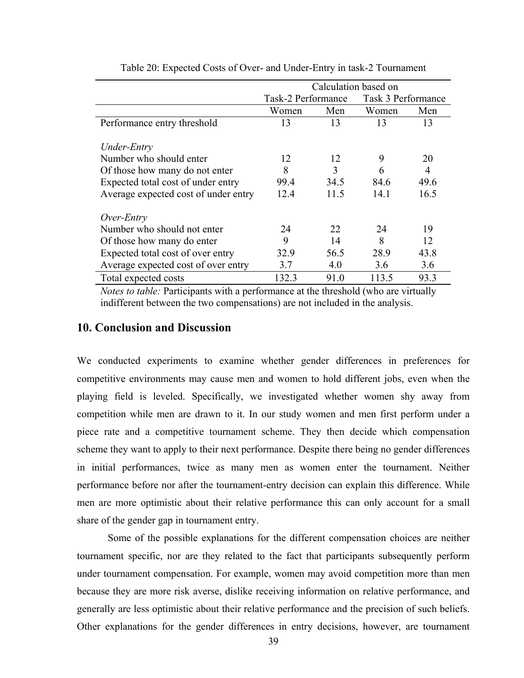|                                      | Calculation based on |      |       |                    |  |
|--------------------------------------|----------------------|------|-------|--------------------|--|
|                                      | Task-2 Performance   |      |       | Task 3 Performance |  |
|                                      | Women                | Men  | Women | Men                |  |
| Performance entry threshold          | 13                   | 13   | 13    | 13                 |  |
|                                      |                      |      |       |                    |  |
| Under-Entry                          |                      |      |       |                    |  |
| Number who should enter              | 12                   | 12   | 9     | 20                 |  |
| Of those how many do not enter       | 8                    | 3    | 6     | 4                  |  |
| Expected total cost of under entry   | 99.4                 | 34.5 | 84.6  | 49.6               |  |
| Average expected cost of under entry | 12.4                 | 11.5 | 14.1  | 16.5               |  |
| Over-Entry                           |                      |      |       |                    |  |
| Number who should not enter          | 24                   | 22   | 24    | 19                 |  |
| Of those how many do enter           | 9                    | 14   | 8     | 12                 |  |
| Expected total cost of over entry    | 32.9                 | 56.5 | 28.9  | 43.8               |  |
| Average expected cost of over entry  | 3.7                  | 4.0  | 3.6   | 3.6                |  |
| Total expected costs                 | 132.3                | 91.0 | 113.5 | 93.3               |  |

Table 20: Expected Costs of Over- and Under-Entry in task-2 Tournament

*Notes to table: Participants with a performance at the threshold (who are virtually* indifferent between the two compensations) are not included in the analysis.

## **10. Conclusion and Discussion**

We conducted experiments to examine whether gender differences in preferences for competitive environments may cause men and women to hold different jobs, even when the playing field is leveled. Specifically, we investigated whether women shy away from competition while men are drawn to it. In our study women and men first perform under a piece rate and a competitive tournament scheme. They then decide which compensation scheme they want to apply to their next performance. Despite there being no gender differences in initial performances, twice as many men as women enter the tournament. Neither performance before nor after the tournament-entry decision can explain this difference. While men are more optimistic about their relative performance this can only account for a small share of the gender gap in tournament entry.

Some of the possible explanations for the different compensation choices are neither tournament specific, nor are they related to the fact that participants subsequently perform under tournament compensation. For example, women may avoid competition more than men because they are more risk averse, dislike receiving information on relative performance, and generally are less optimistic about their relative performance and the precision of such beliefs. Other explanations for the gender differences in entry decisions, however, are tournament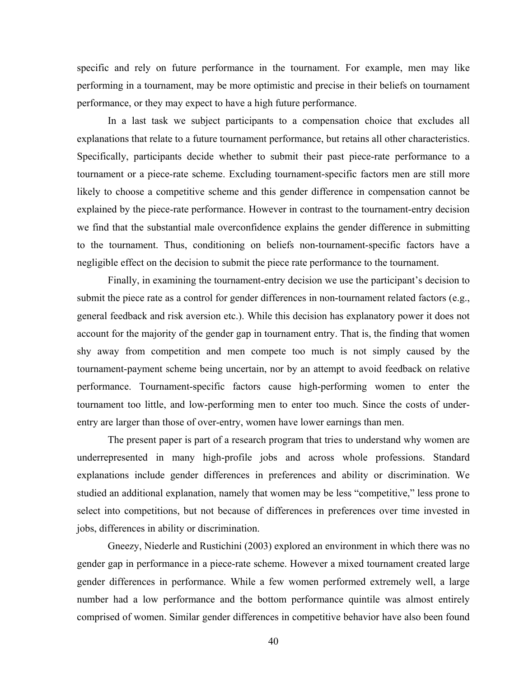specific and rely on future performance in the tournament. For example, men may like performing in a tournament, may be more optimistic and precise in their beliefs on tournament performance, or they may expect to have a high future performance.

In a last task we subject participants to a compensation choice that excludes all explanations that relate to a future tournament performance, but retains all other characteristics. Specifically, participants decide whether to submit their past piece-rate performance to a tournament or a piece-rate scheme. Excluding tournament-specific factors men are still more likely to choose a competitive scheme and this gender difference in compensation cannot be explained by the piece-rate performance. However in contrast to the tournament-entry decision we find that the substantial male overconfidence explains the gender difference in submitting to the tournament. Thus, conditioning on beliefs non-tournament-specific factors have a negligible effect on the decision to submit the piece rate performance to the tournament.

Finally, in examining the tournament-entry decision we use the participant's decision to submit the piece rate as a control for gender differences in non-tournament related factors (e.g., general feedback and risk aversion etc.). While this decision has explanatory power it does not account for the majority of the gender gap in tournament entry. That is, the finding that women shy away from competition and men compete too much is not simply caused by the tournament-payment scheme being uncertain, nor by an attempt to avoid feedback on relative performance. Tournament-specific factors cause high-performing women to enter the tournament too little, and low-performing men to enter too much. Since the costs of underentry are larger than those of over-entry, women have lower earnings than men.

The present paper is part of a research program that tries to understand why women are underrepresented in many high-profile jobs and across whole professions. Standard explanations include gender differences in preferences and ability or discrimination. We studied an additional explanation, namely that women may be less "competitive," less prone to select into competitions, but not because of differences in preferences over time invested in jobs, differences in ability or discrimination.

Gneezy, Niederle and Rustichini (2003) explored an environment in which there was no gender gap in performance in a piece-rate scheme. However a mixed tournament created large gender differences in performance. While a few women performed extremely well, a large number had a low performance and the bottom performance quintile was almost entirely comprised of women. Similar gender differences in competitive behavior have also been found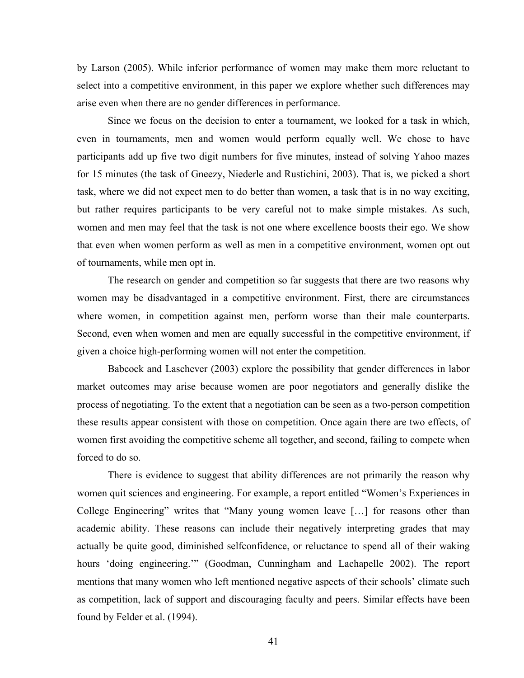by Larson (2005). While inferior performance of women may make them more reluctant to select into a competitive environment, in this paper we explore whether such differences may arise even when there are no gender differences in performance.

Since we focus on the decision to enter a tournament, we looked for a task in which, even in tournaments, men and women would perform equally well. We chose to have participants add up five two digit numbers for five minutes, instead of solving Yahoo mazes for 15 minutes (the task of Gneezy, Niederle and Rustichini, 2003). That is, we picked a short task, where we did not expect men to do better than women, a task that is in no way exciting, but rather requires participants to be very careful not to make simple mistakes. As such, women and men may feel that the task is not one where excellence boosts their ego. We show that even when women perform as well as men in a competitive environment, women opt out of tournaments, while men opt in.

The research on gender and competition so far suggests that there are two reasons why women may be disadvantaged in a competitive environment. First, there are circumstances where women, in competition against men, perform worse than their male counterparts. Second, even when women and men are equally successful in the competitive environment, if given a choice high-performing women will not enter the competition.

Babcock and Laschever (2003) explore the possibility that gender differences in labor market outcomes may arise because women are poor negotiators and generally dislike the process of negotiating. To the extent that a negotiation can be seen as a two-person competition these results appear consistent with those on competition. Once again there are two effects, of women first avoiding the competitive scheme all together, and second, failing to compete when forced to do so.

There is evidence to suggest that ability differences are not primarily the reason why women quit sciences and engineering. For example, a report entitled "Women's Experiences in College Engineering" writes that "Many young women leave […] for reasons other than academic ability. These reasons can include their negatively interpreting grades that may actually be quite good, diminished selfconfidence, or reluctance to spend all of their waking hours 'doing engineering.'" (Goodman, Cunningham and Lachapelle 2002). The report mentions that many women who left mentioned negative aspects of their schools' climate such as competition, lack of support and discouraging faculty and peers. Similar effects have been found by Felder et al. (1994).

41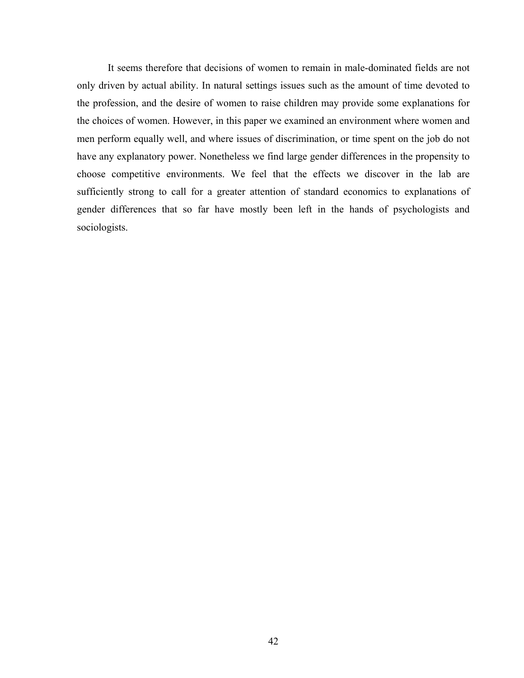It seems therefore that decisions of women to remain in male-dominated fields are not only driven by actual ability. In natural settings issues such as the amount of time devoted to the profession, and the desire of women to raise children may provide some explanations for the choices of women. However, in this paper we examined an environment where women and men perform equally well, and where issues of discrimination, or time spent on the job do not have any explanatory power. Nonetheless we find large gender differences in the propensity to choose competitive environments. We feel that the effects we discover in the lab are sufficiently strong to call for a greater attention of standard economics to explanations of gender differences that so far have mostly been left in the hands of psychologists and sociologists.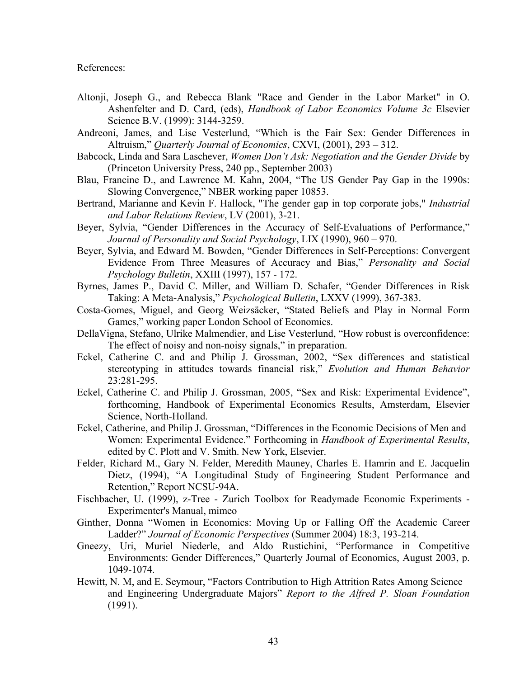References:

- Altonji, Joseph G., and Rebecca Blank "Race and Gender in the Labor Market" in O. Ashenfelter and D. Card, (eds), *Handbook of Labor Economics Volume 3c* Elsevier Science B.V. (1999): 3144-3259.
- Andreoni, James, and Lise Vesterlund, "Which is the Fair Sex: Gender Differences in Altruism," *Quarterly Journal of Economics*, CXVI, (2001), 293 – 312.
- Babcock, Linda and Sara Laschever, *Women Don't Ask: Negotiation and the Gender Divide* by (Princeton University Press, 240 pp., September 2003)
- Blau, Francine D., and Lawrence M. Kahn, 2004, "The US Gender Pay Gap in the 1990s: Slowing Convergence," NBER working paper 10853.
- Bertrand, Marianne and Kevin F. Hallock, "The gender gap in top corporate jobs," *Industrial and Labor Relations Review*, LV (2001), 3-21.
- Beyer, Sylvia, "Gender Differences in the Accuracy of Self-Evaluations of Performance," *Journal of Personality and Social Psychology*, LIX (1990), 960 – 970.
- Beyer, Sylvia, and Edward M. Bowden, "Gender Differences in Self-Perceptions: Convergent Evidence From Three Measures of Accuracy and Bias," *Personality and Social Psychology Bulletin*, XXIII (1997), 157 - 172.
- Byrnes, James P., David C. Miller, and William D. Schafer, "Gender Differences in Risk Taking: A Meta-Analysis," *Psychological Bulletin*, LXXV (1999), 367-383.
- Costa-Gomes, Miguel, and Georg Weizsäcker, "Stated Beliefs and Play in Normal Form Games," working paper London School of Economics.
- DellaVigna, Stefano, Ulrike Malmendier, and Lise Vesterlund, "How robust is overconfidence: The effect of noisy and non-noisy signals," in preparation.
- Eckel, Catherine C. and and Philip J. Grossman, 2002, "Sex differences and statistical stereotyping in attitudes towards financial risk," *Evolution and Human Behavior* 23:281-295.
- Eckel, Catherine C. and Philip J. Grossman, 2005, "Sex and Risk: Experimental Evidence", forthcoming, Handbook of Experimental Economics Results, Amsterdam, Elsevier Science, North-Holland.
- Eckel, Catherine, and Philip J. Grossman, "Differences in the Economic Decisions of Men and Women: Experimental Evidence." Forthcoming in *Handbook of Experimental Results*, edited by C. Plott and V. Smith. New York, Elsevier.
- Felder, Richard M., Gary N. Felder, Meredith Mauney, Charles E. Hamrin and E. Jacquelin Dietz, (1994), "A Longitudinal Study of Engineering Student Performance and Retention," Report NCSU-94A.
- Fischbacher, U. (1999), z-Tree Zurich Toolbox for Readymade Economic Experiments Experimenter's Manual, mimeo
- Ginther, Donna "Women in Economics: Moving Up or Falling Off the Academic Career Ladder?" *Journal of Economic Perspectives* (Summer 2004) 18:3, 193-214.
- Gneezy, Uri, Muriel Niederle, and Aldo Rustichini, "Performance in Competitive Environments: Gender Differences," Quarterly Journal of Economics, August 2003, p. 1049-1074.
- Hewitt, N. M, and E. Seymour, "Factors Contribution to High Attrition Rates Among Science and Engineering Undergraduate Majors" *Report to the Alfred P. Sloan Foundation* (1991).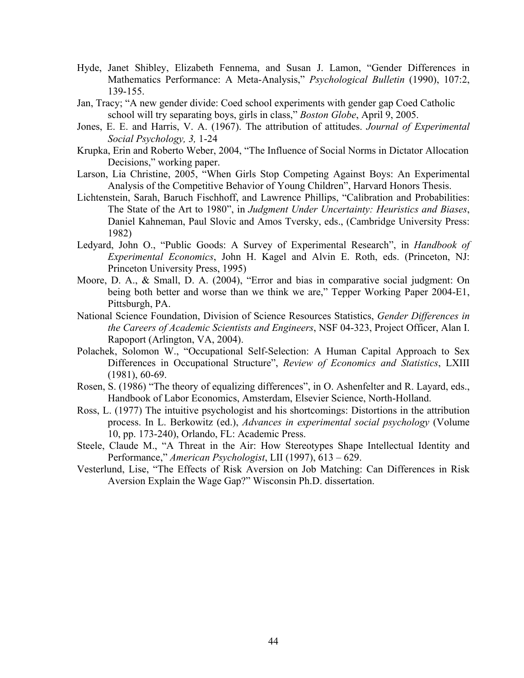- Hyde, Janet Shibley, Elizabeth Fennema, and Susan J. Lamon, "Gender Differences in Mathematics Performance: A Meta-Analysis," *Psychological Bulletin* (1990), 107:2, 139-155.
- Jan, Tracy; "A new gender divide: Coed school experiments with gender gap Coed Catholic school will try separating boys, girls in class," *Boston Globe*, April 9, 2005.
- Jones, E. E. and Harris, V. A. (1967). The attribution of attitudes. *Journal of Experimental Social Psychology, 3,* 1-24
- Krupka, Erin and Roberto Weber, 2004, "The Influence of Social Norms in Dictator Allocation Decisions," working paper.
- Larson, Lia Christine, 2005, "When Girls Stop Competing Against Boys: An Experimental Analysis of the Competitive Behavior of Young Children", Harvard Honors Thesis.
- Lichtenstein, Sarah, Baruch Fischhoff, and Lawrence Phillips, "Calibration and Probabilities: The State of the Art to 1980", in *Judgment Under Uncertainty: Heuristics and Biases*, Daniel Kahneman, Paul Slovic and Amos Tversky, eds., (Cambridge University Press: 1982)
- Ledyard, John O., "Public Goods: A Survey of Experimental Research", in *Handbook of Experimental Economics*, John H. Kagel and Alvin E. Roth, eds. (Princeton, NJ: Princeton University Press, 1995)
- Moore, D. A., & Small, D. A. (2004), "Error and bias in comparative social judgment: On being both better and worse than we think we are," Tepper Working Paper 2004-E1, Pittsburgh, PA.
- National Science Foundation, Division of Science Resources Statistics, *Gender Differences in the Careers of Academic Scientists and Engineers*, NSF 04-323, Project Officer, Alan I. Rapoport (Arlington, VA, 2004).
- Polachek, Solomon W., "Occupational Self-Selection: A Human Capital Approach to Sex Differences in Occupational Structure", *Review of Economics and Statistics*, LXIII (1981), 60-69.
- Rosen, S. (1986) "The theory of equalizing differences", in O. Ashenfelter and R. Layard, eds., Handbook of Labor Economics, Amsterdam, Elsevier Science, North-Holland.
- Ross, L. (1977) The intuitive psychologist and his shortcomings: Distortions in the attribution process. In L. Berkowitz (ed.), *Advances in experimental social psychology* (Volume 10, pp. 173-240), Orlando, FL: Academic Press.
- Steele, Claude M., "A Threat in the Air: How Stereotypes Shape Intellectual Identity and Performance," *American Psychologist*, LII (1997), 613 – 629.
- Vesterlund, Lise, "The Effects of Risk Aversion on Job Matching: Can Differences in Risk Aversion Explain the Wage Gap?" Wisconsin Ph.D. dissertation.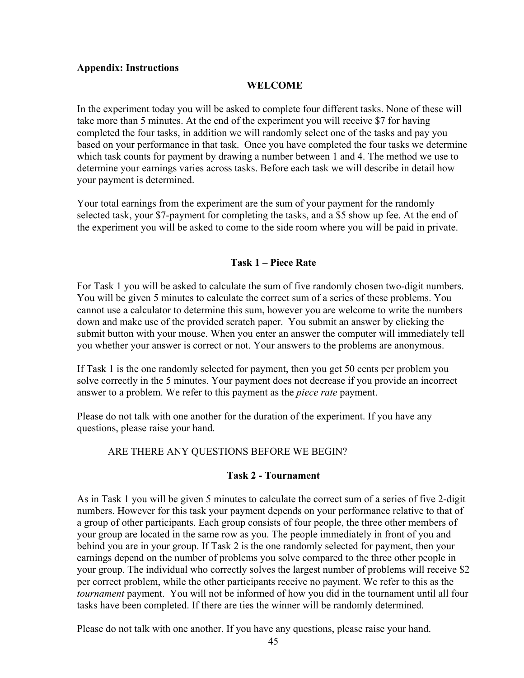### **Appendix: Instructions**

## **WELCOME**

In the experiment today you will be asked to complete four different tasks. None of these will take more than 5 minutes. At the end of the experiment you will receive \$7 for having completed the four tasks, in addition we will randomly select one of the tasks and pay you based on your performance in that task. Once you have completed the four tasks we determine which task counts for payment by drawing a number between 1 and 4. The method we use to determine your earnings varies across tasks. Before each task we will describe in detail how your payment is determined.

Your total earnings from the experiment are the sum of your payment for the randomly selected task, your \$7-payment for completing the tasks, and a \$5 show up fee. At the end of the experiment you will be asked to come to the side room where you will be paid in private.

## **Task 1 – Piece Rate**

For Task 1 you will be asked to calculate the sum of five randomly chosen two-digit numbers. You will be given 5 minutes to calculate the correct sum of a series of these problems. You cannot use a calculator to determine this sum, however you are welcome to write the numbers down and make use of the provided scratch paper. You submit an answer by clicking the submit button with your mouse. When you enter an answer the computer will immediately tell you whether your answer is correct or not. Your answers to the problems are anonymous.

If Task 1 is the one randomly selected for payment, then you get 50 cents per problem you solve correctly in the 5 minutes. Your payment does not decrease if you provide an incorrect answer to a problem. We refer to this payment as the *piece rate* payment.

Please do not talk with one another for the duration of the experiment. If you have any questions, please raise your hand.

# ARE THERE ANY QUESTIONS BEFORE WE BEGIN?

### **Task 2 - Tournament**

As in Task 1 you will be given 5 minutes to calculate the correct sum of a series of five 2-digit numbers. However for this task your payment depends on your performance relative to that of a group of other participants. Each group consists of four people, the three other members of your group are located in the same row as you. The people immediately in front of you and behind you are in your group. If Task 2 is the one randomly selected for payment, then your earnings depend on the number of problems you solve compared to the three other people in your group. The individual who correctly solves the largest number of problems will receive \$2 per correct problem, while the other participants receive no payment. We refer to this as the *tournament* payment. You will not be informed of how you did in the tournament until all four tasks have been completed. If there are ties the winner will be randomly determined.

Please do not talk with one another. If you have any questions, please raise your hand.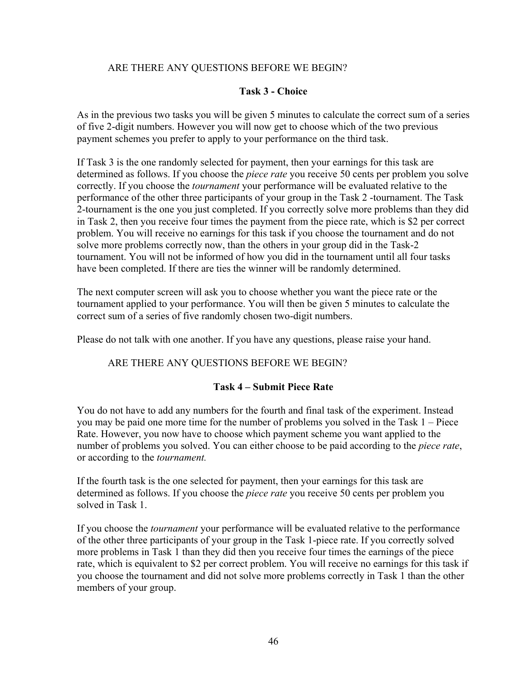# ARE THERE ANY QUESTIONS BEFORE WE BEGIN?

## **Task 3 - Choice**

As in the previous two tasks you will be given 5 minutes to calculate the correct sum of a series of five 2-digit numbers. However you will now get to choose which of the two previous payment schemes you prefer to apply to your performance on the third task.

If Task 3 is the one randomly selected for payment, then your earnings for this task are determined as follows. If you choose the *piece rate* you receive 50 cents per problem you solve correctly. If you choose the *tournament* your performance will be evaluated relative to the performance of the other three participants of your group in the Task 2 -tournament. The Task 2-tournament is the one you just completed. If you correctly solve more problems than they did in Task 2, then you receive four times the payment from the piece rate, which is \$2 per correct problem. You will receive no earnings for this task if you choose the tournament and do not solve more problems correctly now, than the others in your group did in the Task-2 tournament. You will not be informed of how you did in the tournament until all four tasks have been completed. If there are ties the winner will be randomly determined.

The next computer screen will ask you to choose whether you want the piece rate or the tournament applied to your performance. You will then be given 5 minutes to calculate the correct sum of a series of five randomly chosen two-digit numbers.

Please do not talk with one another. If you have any questions, please raise your hand.

# ARE THERE ANY QUESTIONS BEFORE WE BEGIN?

# **Task 4 – Submit Piece Rate**

You do not have to add any numbers for the fourth and final task of the experiment. Instead you may be paid one more time for the number of problems you solved in the Task 1 – Piece Rate. However, you now have to choose which payment scheme you want applied to the number of problems you solved. You can either choose to be paid according to the *piece rate*, or according to the *tournament.*

If the fourth task is the one selected for payment, then your earnings for this task are determined as follows. If you choose the *piece rate* you receive 50 cents per problem you solved in Task 1.

If you choose the *tournament* your performance will be evaluated relative to the performance of the other three participants of your group in the Task 1-piece rate. If you correctly solved more problems in Task 1 than they did then you receive four times the earnings of the piece rate, which is equivalent to \$2 per correct problem. You will receive no earnings for this task if you choose the tournament and did not solve more problems correctly in Task 1 than the other members of your group.